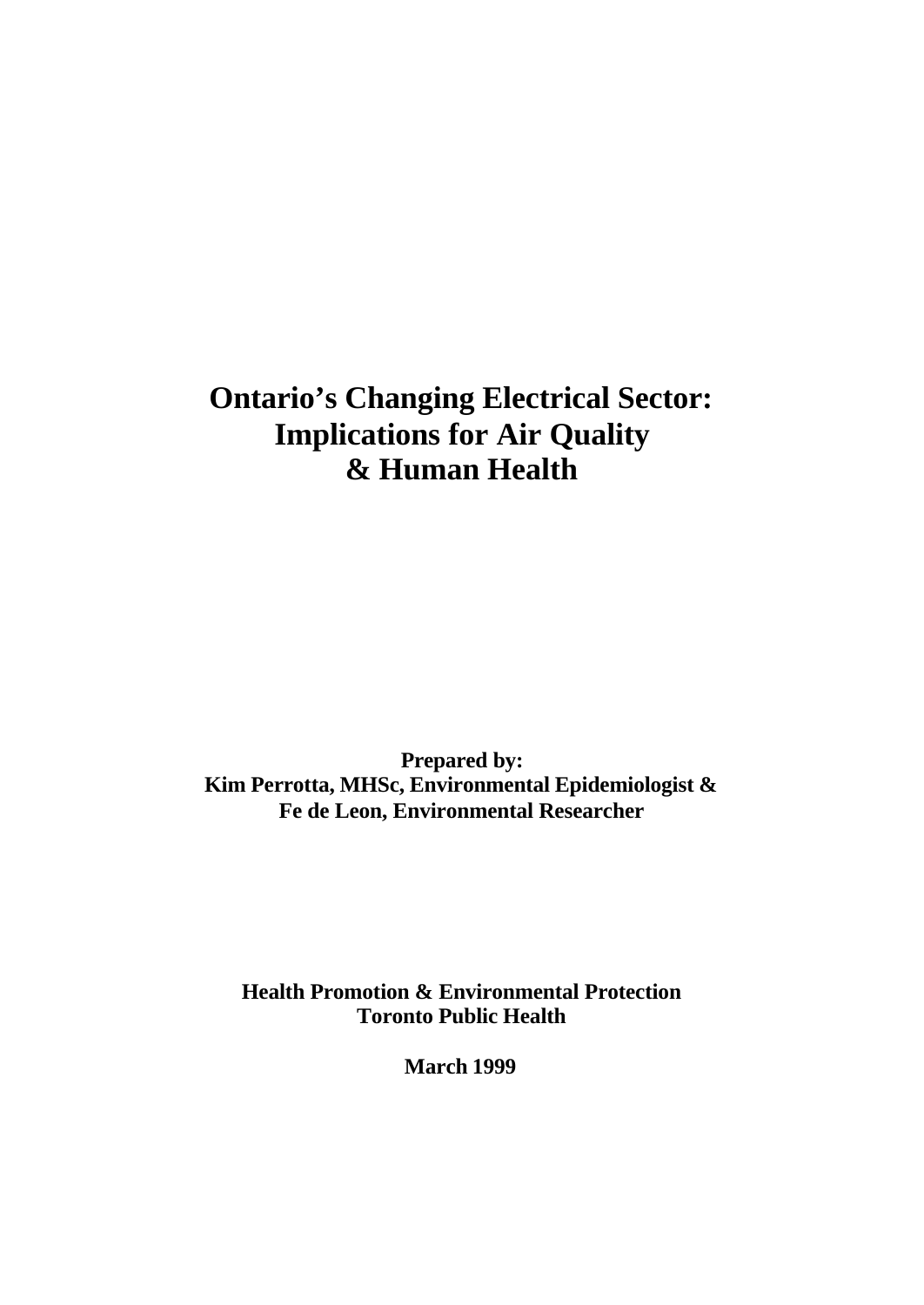# **Ontario's Changing Electrical Sector: Implications for Air Quality & Human Health**

**Prepared by: Kim Perrotta, MHSc, Environmental Epidemiologist & Fe de Leon, Environmental Researcher**

**Health Promotion & Environmental Protection Toronto Public Health**

**March 1999**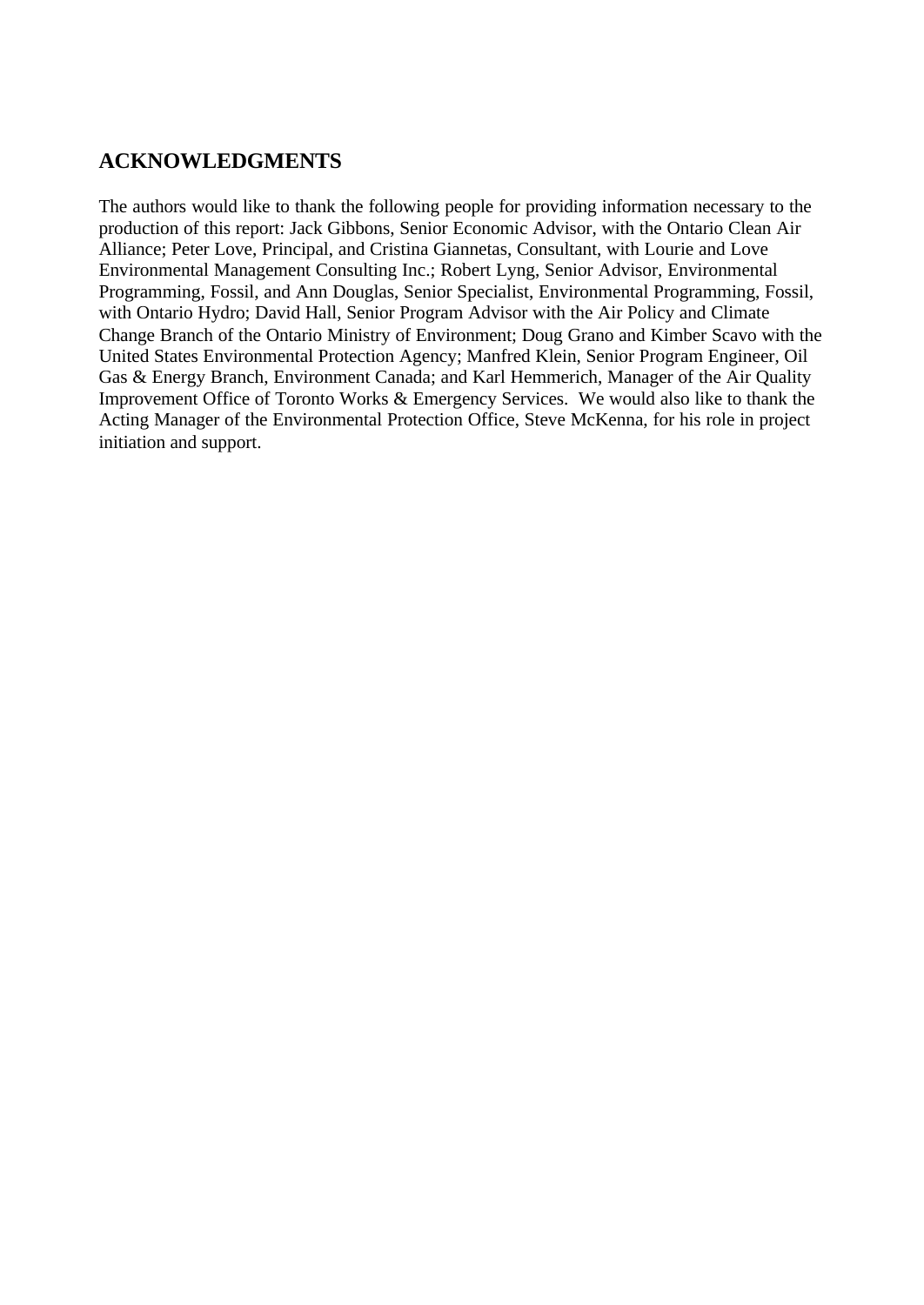# **ACKNOWLEDGMENTS**

The authors would like to thank the following people for providing information necessary to the production of this report: Jack Gibbons, Senior Economic Advisor, with the Ontario Clean Air Alliance; Peter Love, Principal, and Cristina Giannetas, Consultant, with Lourie and Love Environmental Management Consulting Inc.; Robert Lyng, Senior Advisor, Environmental Programming, Fossil, and Ann Douglas, Senior Specialist, Environmental Programming, Fossil, with Ontario Hydro; David Hall, Senior Program Advisor with the Air Policy and Climate Change Branch of the Ontario Ministry of Environment; Doug Grano and Kimber Scavo with the United States Environmental Protection Agency; Manfred Klein, Senior Program Engineer, Oil Gas & Energy Branch, Environment Canada; and Karl Hemmerich, Manager of the Air Quality Improvement Office of Toronto Works & Emergency Services. We would also like to thank the Acting Manager of the Environmental Protection Office, Steve McKenna, for his role in project initiation and support.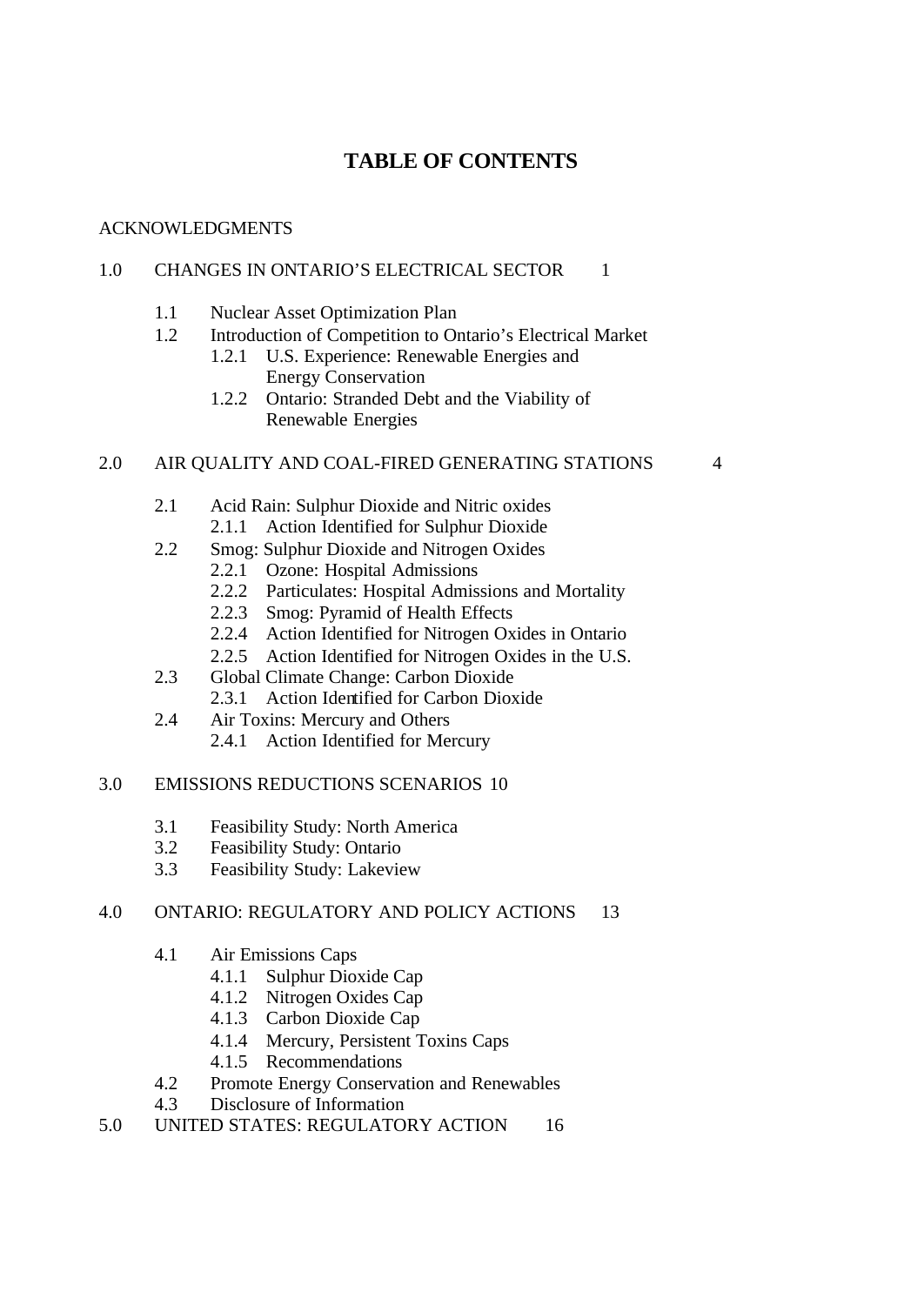# **TABLE OF CONTENTS**

#### ACKNOWLEDGMENTS

#### 1.0 CHANGES IN ONTARIO'S ELECTRICAL SECTOR 1

- 1.1 Nuclear Asset Optimization Plan
- 1.2 Introduction of Competition to Ontario's Electrical Market
	- 1.2.1 U.S. Experience: Renewable Energies and Energy Conservation
	- 1.2.2 Ontario: Stranded Debt and the Viability of Renewable Energies

#### 2.0 AIR QUALITY AND COAL-FIRED GENERATING STATIONS 4

- 2.1 Acid Rain: Sulphur Dioxide and Nitric oxides
	- 2.1.1 Action Identified for Sulphur Dioxide
- 2.2 Smog: Sulphur Dioxide and Nitrogen Oxides
	- 2.2.1 Ozone: Hospital Admissions
	- 2.2.2 Particulates: Hospital Admissions and Mortality
	- 2.2.3 Smog: Pyramid of Health Effects
	- 2.2.4 Action Identified for Nitrogen Oxides in Ontario
	- 2.2.5 Action Identified for Nitrogen Oxides in the U.S.
- 2.3 Global Climate Change: Carbon Dioxide 2.3.1 Action Identified for Carbon Dioxide
- 2.4 Air Toxins: Mercury and Others
	- 2.4.1 Action Identified for Mercury

#### 3.0 EMISSIONS REDUCTIONS SCENARIOS 10

- 3.1 Feasibility Study: North America
- 3.2 Feasibility Study: Ontario
- 3.3 Feasibility Study: Lakeview

## 4.0 ONTARIO: REGULATORY AND POLICY ACTIONS 13

- 4.1 Air Emissions Caps
	- 4.1.1 Sulphur Dioxide Cap
	- 4.1.2 Nitrogen Oxides Cap
	- 4.1.3 Carbon Dioxide Cap
	- 4.1.4 Mercury, Persistent Toxins Caps
	- 4.1.5 Recommendations
- 4.2 Promote Energy Conservation and Renewables
- 4.3 Disclosure of Information
- 5.0 UNITED STATES: REGULATORY ACTION 16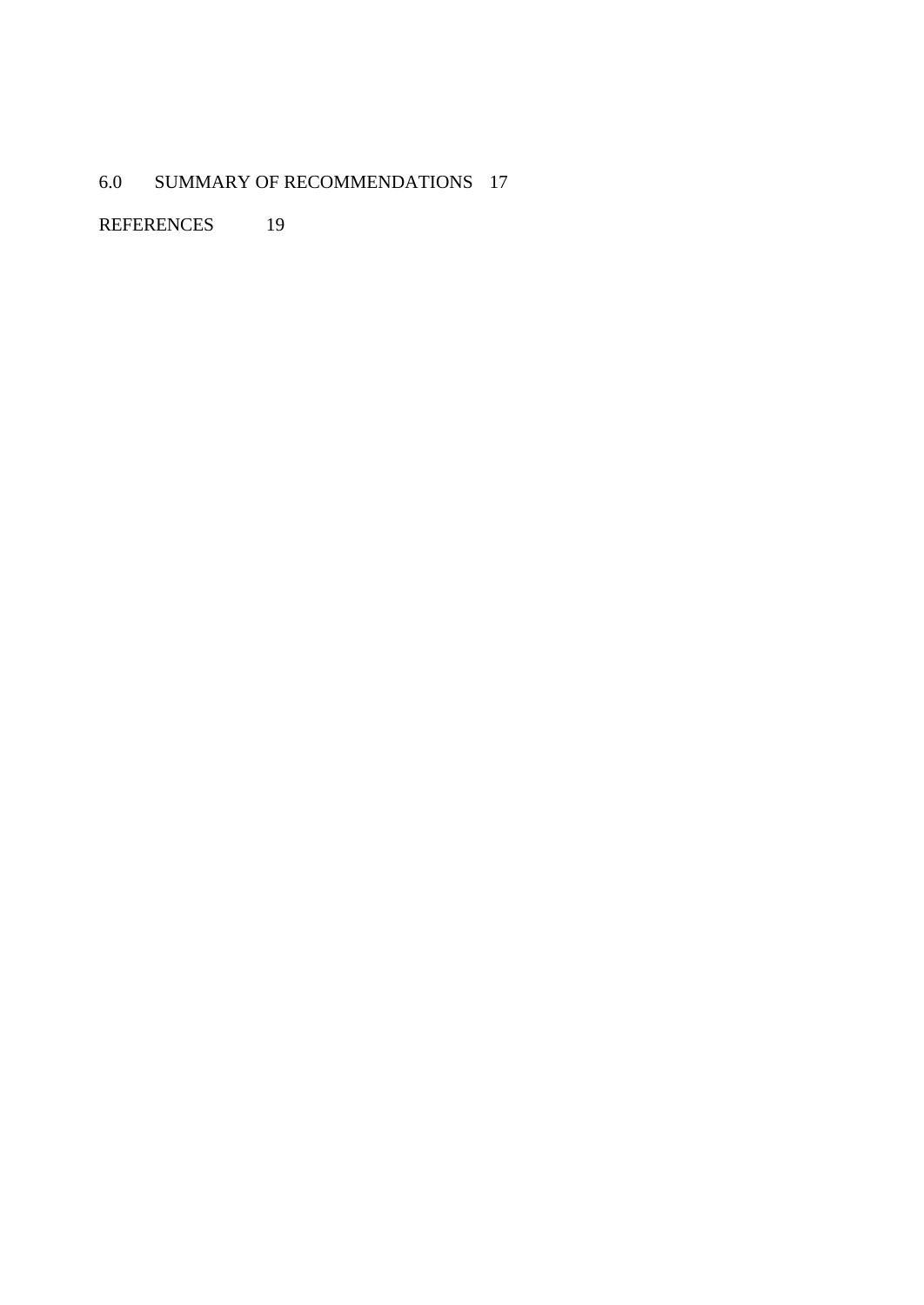# 6.0 SUMMARY OF RECOMMENDATIONS 17

REFERENCES 19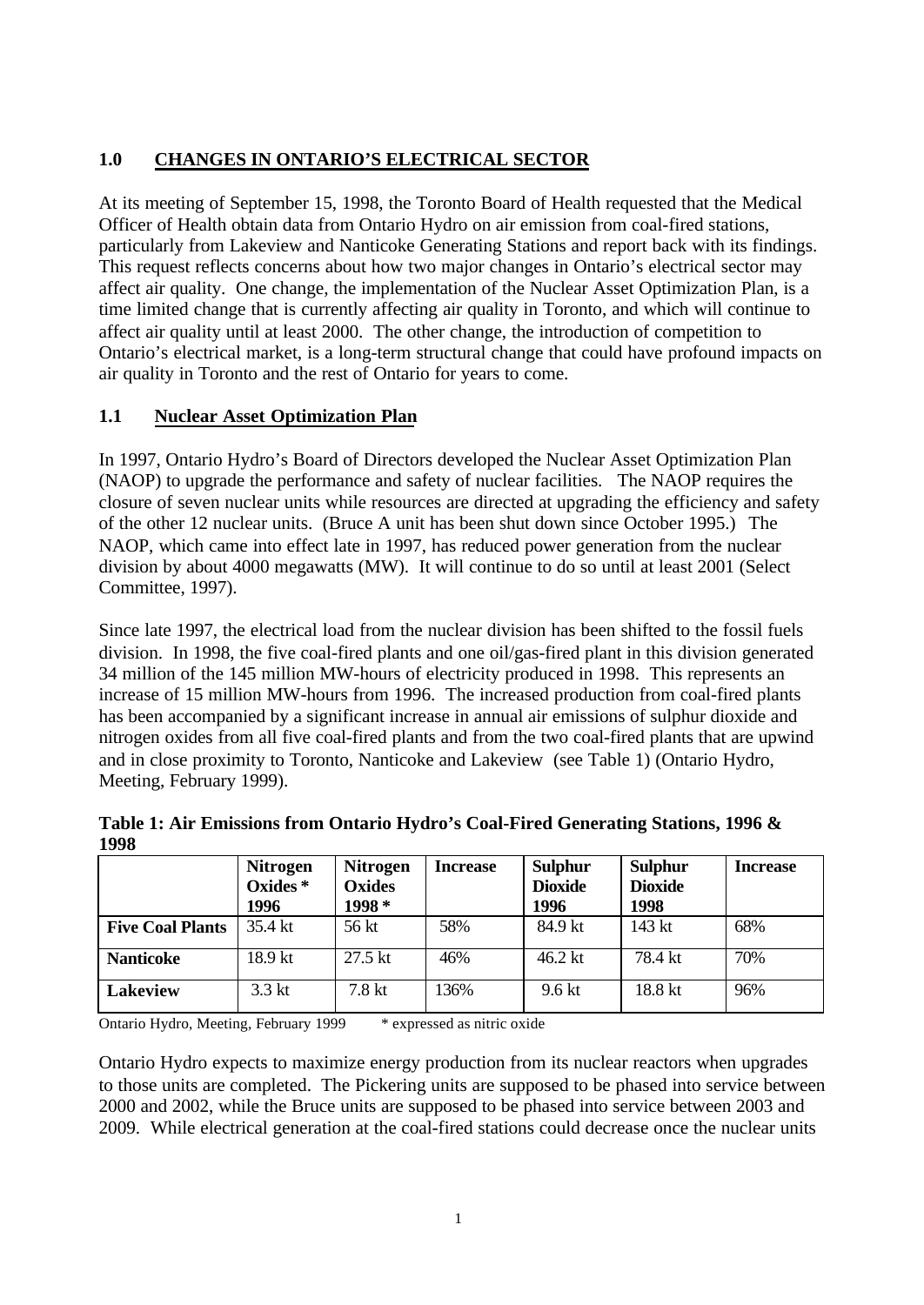## **1.0 CHANGES IN ONTARIO'S ELECTRICAL SECTOR**

At its meeting of September 15, 1998, the Toronto Board of Health requested that the Medical Officer of Health obtain data from Ontario Hydro on air emission from coal-fired stations, particularly from Lakeview and Nanticoke Generating Stations and report back with its findings. This request reflects concerns about how two major changes in Ontario's electrical sector may affect air quality. One change, the implementation of the Nuclear Asset Optimization Plan, is a time limited change that is currently affecting air quality in Toronto, and which will continue to affect air quality until at least 2000. The other change, the introduction of competition to Ontario's electrical market, is a long-term structural change that could have profound impacts on air quality in Toronto and the rest of Ontario for years to come.

## **1.1 Nuclear Asset Optimization Plan**

In 1997, Ontario Hydro's Board of Directors developed the Nuclear Asset Optimization Plan (NAOP) to upgrade the performance and safety of nuclear facilities. The NAOP requires the closure of seven nuclear units while resources are directed at upgrading the efficiency and safety of the other 12 nuclear units. (Bruce A unit has been shut down since October 1995.) The NAOP, which came into effect late in 1997, has reduced power generation from the nuclear division by about 4000 megawatts (MW). It will continue to do so until at least 2001 (Select Committee, 1997).

Since late 1997, the electrical load from the nuclear division has been shifted to the fossil fuels division. In 1998, the five coal-fired plants and one oil/gas-fired plant in this division generated 34 million of the 145 million MW-hours of electricity produced in 1998. This represents an increase of 15 million MW-hours from 1996. The increased production from coal-fired plants has been accompanied by a significant increase in annual air emissions of sulphur dioxide and nitrogen oxides from all five coal-fired plants and from the two coal-fired plants that are upwind and in close proximity to Toronto, Nanticoke and Lakeview (see Table 1) (Ontario Hydro, Meeting, February 1999).

|                         | Nitrogen<br>Oxides *<br>1996 | <b>Nitrogen</b><br><b>Oxides</b><br>1998* | <b>Increase</b> | Sulphur<br><b>Dioxide</b><br>1996 | <b>Sulphur</b><br><b>Dioxide</b><br>1998 | <b>Increase</b> |
|-------------------------|------------------------------|-------------------------------------------|-----------------|-----------------------------------|------------------------------------------|-----------------|
| <b>Five Coal Plants</b> | 35.4 kt                      | 56 kt                                     | 58%             | 84.9 kt                           | 143 kt                                   | 68%             |
| <b>Nanticoke</b>        | 18.9 kt                      | $27.5 \text{ kt}$                         | 46%             | $46.2$ kt                         | 78.4 kt                                  | 70%             |
| <b>Lakeview</b>         | $3.3$ kt                     | 7.8 <sub>kt</sub>                         | 136%            | 9.6 kt                            | 18.8 kt                                  | 96%             |

**Table 1: Air Emissions from Ontario Hydro's Coal-Fired Generating Stations, 1996 & 1998**

Ontario Hydro, Meeting, February 1999 \* expressed as nitric oxide

Ontario Hydro expects to maximize energy production from its nuclear reactors when upgrades to those units are completed. The Pickering units are supposed to be phased into service between 2000 and 2002, while the Bruce units are supposed to be phased into service between 2003 and 2009. While electrical generation at the coal-fired stations could decrease once the nuclear units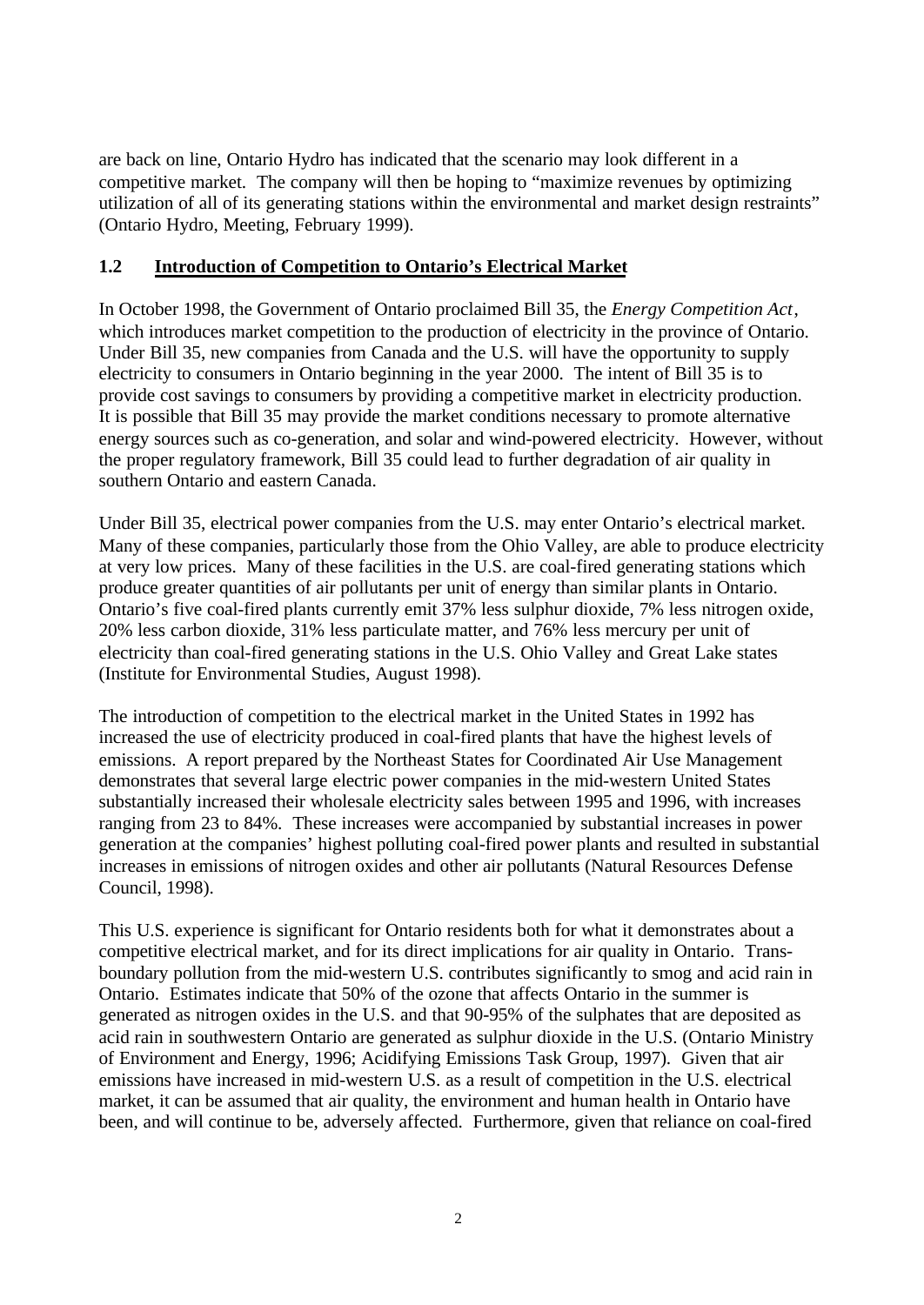are back on line, Ontario Hydro has indicated that the scenario may look different in a competitive market. The company will then be hoping to "maximize revenues by optimizing utilization of all of its generating stations within the environmental and market design restraints" (Ontario Hydro, Meeting, February 1999).

#### **1.2 Introduction of Competition to Ontario's Electrical Market**

In October 1998, the Government of Ontario proclaimed Bill 35, the *Energy Competition Act*, which introduces market competition to the production of electricity in the province of Ontario. Under Bill 35, new companies from Canada and the U.S. will have the opportunity to supply electricity to consumers in Ontario beginning in the year 2000. The intent of Bill 35 is to provide cost savings to consumers by providing a competitive market in electricity production. It is possible that Bill 35 may provide the market conditions necessary to promote alternative energy sources such as co-generation, and solar and wind-powered electricity. However, without the proper regulatory framework, Bill 35 could lead to further degradation of air quality in southern Ontario and eastern Canada.

Under Bill 35, electrical power companies from the U.S. may enter Ontario's electrical market. Many of these companies, particularly those from the Ohio Valley, are able to produce electricity at very low prices. Many of these facilities in the U.S. are coal-fired generating stations which produce greater quantities of air pollutants per unit of energy than similar plants in Ontario. Ontario's five coal-fired plants currently emit 37% less sulphur dioxide, 7% less nitrogen oxide, 20% less carbon dioxide, 31% less particulate matter, and 76% less mercury per unit of electricity than coal-fired generating stations in the U.S. Ohio Valley and Great Lake states (Institute for Environmental Studies, August 1998).

The introduction of competition to the electrical market in the United States in 1992 has increased the use of electricity produced in coal-fired plants that have the highest levels of emissions. A report prepared by the Northeast States for Coordinated Air Use Management demonstrates that several large electric power companies in the mid-western United States substantially increased their wholesale electricity sales between 1995 and 1996, with increases ranging from 23 to 84%. These increases were accompanied by substantial increases in power generation at the companies' highest polluting coal-fired power plants and resulted in substantial increases in emissions of nitrogen oxides and other air pollutants (Natural Resources Defense Council, 1998).

This U.S. experience is significant for Ontario residents both for what it demonstrates about a competitive electrical market, and for its direct implications for air quality in Ontario. Transboundary pollution from the mid-western U.S. contributes significantly to smog and acid rain in Ontario. Estimates indicate that 50% of the ozone that affects Ontario in the summer is generated as nitrogen oxides in the U.S. and that 90-95% of the sulphates that are deposited as acid rain in southwestern Ontario are generated as sulphur dioxide in the U.S. (Ontario Ministry of Environment and Energy, 1996; Acidifying Emissions Task Group, 1997). Given that air emissions have increased in mid-western U.S. as a result of competition in the U.S. electrical market, it can be assumed that air quality, the environment and human health in Ontario have been, and will continue to be, adversely affected. Furthermore, given that reliance on coal-fired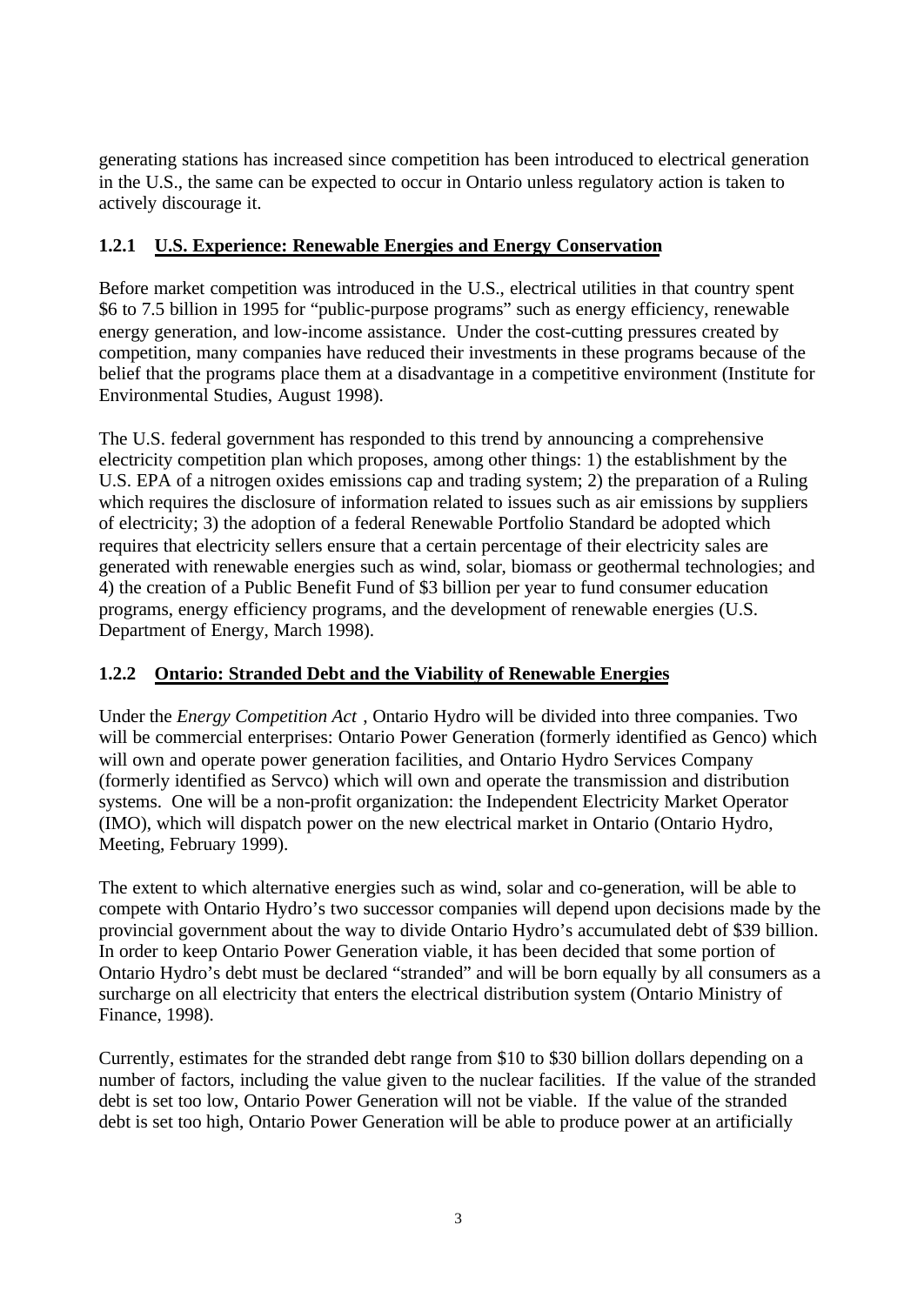generating stations has increased since competition has been introduced to electrical generation in the U.S., the same can be expected to occur in Ontario unless regulatory action is taken to actively discourage it.

#### **1.2.1 U.S. Experience: Renewable Energies and Energy Conservation**

Before market competition was introduced in the U.S., electrical utilities in that country spent \$6 to 7.5 billion in 1995 for "public-purpose programs" such as energy efficiency, renewable energy generation, and low-income assistance. Under the cost-cutting pressures created by competition, many companies have reduced their investments in these programs because of the belief that the programs place them at a disadvantage in a competitive environment (Institute for Environmental Studies, August 1998).

The U.S. federal government has responded to this trend by announcing a comprehensive electricity competition plan which proposes, among other things: 1) the establishment by the U.S. EPA of a nitrogen oxides emissions cap and trading system; 2) the preparation of a Ruling which requires the disclosure of information related to issues such as air emissions by suppliers of electricity; 3) the adoption of a federal Renewable Portfolio Standard be adopted which requires that electricity sellers ensure that a certain percentage of their electricity sales are generated with renewable energies such as wind, solar, biomass or geothermal technologies; and 4) the creation of a Public Benefit Fund of \$3 billion per year to fund consumer education programs, energy efficiency programs, and the development of renewable energies (U.S. Department of Energy, March 1998).

## **1.2.2 Ontario: Stranded Debt and the Viability of Renewable Energies**

Under the *Energy Competition Act* , Ontario Hydro will be divided into three companies. Two will be commercial enterprises: Ontario Power Generation (formerly identified as Genco) which will own and operate power generation facilities, and Ontario Hydro Services Company (formerly identified as Servco) which will own and operate the transmission and distribution systems. One will be a non-profit organization: the Independent Electricity Market Operator (IMO), which will dispatch power on the new electrical market in Ontario (Ontario Hydro, Meeting, February 1999).

The extent to which alternative energies such as wind, solar and co-generation, will be able to compete with Ontario Hydro's two successor companies will depend upon decisions made by the provincial government about the way to divide Ontario Hydro's accumulated debt of \$39 billion. In order to keep Ontario Power Generation viable, it has been decided that some portion of Ontario Hydro's debt must be declared "stranded" and will be born equally by all consumers as a surcharge on all electricity that enters the electrical distribution system (Ontario Ministry of Finance, 1998).

Currently, estimates for the stranded debt range from \$10 to \$30 billion dollars depending on a number of factors, including the value given to the nuclear facilities. If the value of the stranded debt is set too low, Ontario Power Generation will not be viable. If the value of the stranded debt is set too high, Ontario Power Generation will be able to produce power at an artificially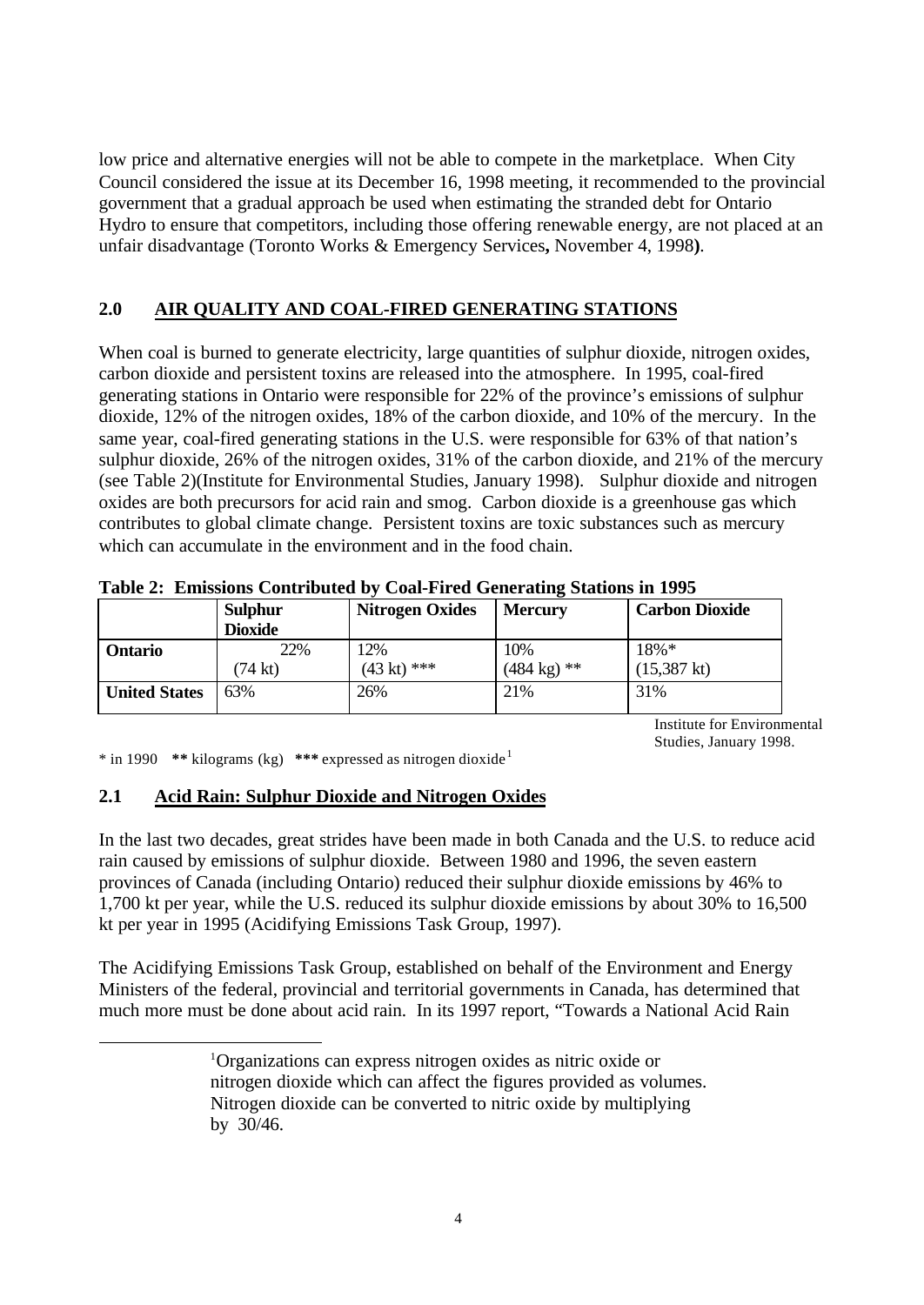low price and alternative energies will not be able to compete in the marketplace. When City Council considered the issue at its December 16, 1998 meeting, it recommended to the provincial government that a gradual approach be used when estimating the stranded debt for Ontario Hydro to ensure that competitors, including those offering renewable energy, are not placed at an unfair disadvantage (Toronto Works & Emergency Services**,** November 4, 1998**)**.

## **2.0 AIR QUALITY AND COAL-FIRED GENERATING STATIONS**

When coal is burned to generate electricity, large quantities of sulphur dioxide, nitrogen oxides, carbon dioxide and persistent toxins are released into the atmosphere. In 1995, coal-fired generating stations in Ontario were responsible for 22% of the province's emissions of sulphur dioxide, 12% of the nitrogen oxides, 18% of the carbon dioxide, and 10% of the mercury. In the same year, coal-fired generating stations in the U.S. were responsible for 63% of that nation's sulphur dioxide, 26% of the nitrogen oxides, 31% of the carbon dioxide, and 21% of the mercury (see Table 2)(Institute for Environmental Studies, January 1998). Sulphur dioxide and nitrogen oxides are both precursors for acid rain and smog. Carbon dioxide is a greenhouse gas which contributes to global climate change. Persistent toxins are toxic substances such as mercury which can accumulate in the environment and in the food chain.

|                      | <b>Sulphur</b><br><b>Dioxide</b> | <b>Nitrogen Oxides</b> | <b>Mercury</b>        | <b>Carbon Dioxide</b> |
|----------------------|----------------------------------|------------------------|-----------------------|-----------------------|
| <b>Ontario</b>       | 22%                              | 12%                    | 10%                   | $18\% *$              |
|                      | (74 kt)                          | $(43 \text{ kt})$ ***  | $(484 \text{ kg})$ ** | $(15,387 \text{ kt})$ |
| <b>United States</b> | 63%                              | 26%                    | 21%                   | 31%                   |

**Table 2: Emissions Contributed by Coal-Fired Generating Stations in 1995**

Institute for Environmental Studies, January 1998.

\* in 1990 **\*\*** kilograms (kg) **\*\*\*** expressed as nitrogen dioxide <sup>1</sup>

l

#### **2.1 Acid Rain: Sulphur Dioxide and Nitrogen Oxides**

In the last two decades, great strides have been made in both Canada and the U.S. to reduce acid rain caused by emissions of sulphur dioxide. Between 1980 and 1996, the seven eastern provinces of Canada (including Ontario) reduced their sulphur dioxide emissions by 46% to 1,700 kt per year, while the U.S. reduced its sulphur dioxide emissions by about 30% to 16,500 kt per year in 1995 (Acidifying Emissions Task Group, 1997).

The Acidifying Emissions Task Group, established on behalf of the Environment and Energy Ministers of the federal, provincial and territorial governments in Canada, has determined that much more must be done about acid rain. In its 1997 report, "Towards a National Acid Rain

<sup>1</sup>Organizations can express nitrogen oxides as nitric oxide or nitrogen dioxide which can affect the figures provided as volumes. Nitrogen dioxide can be converted to nitric oxide by multiplying by 30/46.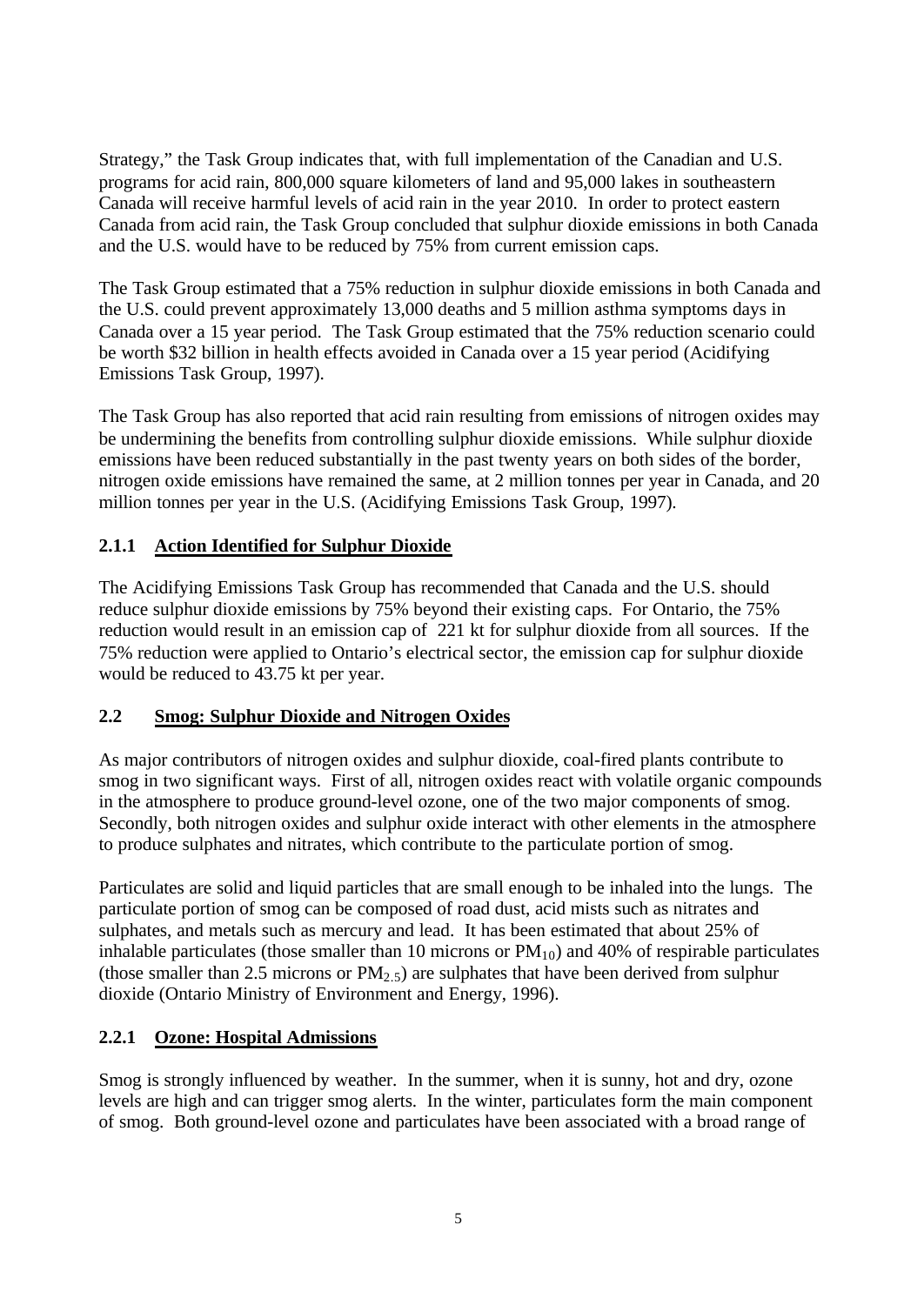Strategy," the Task Group indicates that, with full implementation of the Canadian and U.S. programs for acid rain, 800,000 square kilometers of land and 95,000 lakes in southeastern Canada will receive harmful levels of acid rain in the year 2010. In order to protect eastern Canada from acid rain, the Task Group concluded that sulphur dioxide emissions in both Canada and the U.S. would have to be reduced by 75% from current emission caps.

The Task Group estimated that a 75% reduction in sulphur dioxide emissions in both Canada and the U.S. could prevent approximately 13,000 deaths and 5 million asthma symptoms days in Canada over a 15 year period. The Task Group estimated that the 75% reduction scenario could be worth \$32 billion in health effects avoided in Canada over a 15 year period (Acidifying Emissions Task Group, 1997).

The Task Group has also reported that acid rain resulting from emissions of nitrogen oxides may be undermining the benefits from controlling sulphur dioxide emissions. While sulphur dioxide emissions have been reduced substantially in the past twenty years on both sides of the border, nitrogen oxide emissions have remained the same, at 2 million tonnes per year in Canada, and 20 million tonnes per year in the U.S. (Acidifying Emissions Task Group, 1997).

#### **2.1.1 Action Identified for Sulphur Dioxide**

The Acidifying Emissions Task Group has recommended that Canada and the U.S. should reduce sulphur dioxide emissions by 75% beyond their existing caps. For Ontario, the 75% reduction would result in an emission cap of 221 kt for sulphur dioxide from all sources. If the 75% reduction were applied to Ontario's electrical sector, the emission cap for sulphur dioxide would be reduced to 43.75 kt per year.

#### **2.2 Smog: Sulphur Dioxide and Nitrogen Oxides**

As major contributors of nitrogen oxides and sulphur dioxide, coal-fired plants contribute to smog in two significant ways. First of all, nitrogen oxides react with volatile organic compounds in the atmosphere to produce ground-level ozone, one of the two major components of smog. Secondly, both nitrogen oxides and sulphur oxide interact with other elements in the atmosphere to produce sulphates and nitrates, which contribute to the particulate portion of smog.

Particulates are solid and liquid particles that are small enough to be inhaled into the lungs. The particulate portion of smog can be composed of road dust, acid mists such as nitrates and sulphates, and metals such as mercury and lead. It has been estimated that about 25% of inhalable particulates (those smaller than 10 microns or  $PM_{10}$ ) and 40% of respirable particulates (those smaller than 2.5 microns or  $PM_{2.5}$ ) are sulphates that have been derived from sulphur dioxide (Ontario Ministry of Environment and Energy, 1996).

#### **2.2.1 Ozone: Hospital Admissions**

Smog is strongly influenced by weather. In the summer, when it is sunny, hot and dry, ozone levels are high and can trigger smog alerts. In the winter, particulates form the main component of smog. Both ground-level ozone and particulates have been associated with a broad range of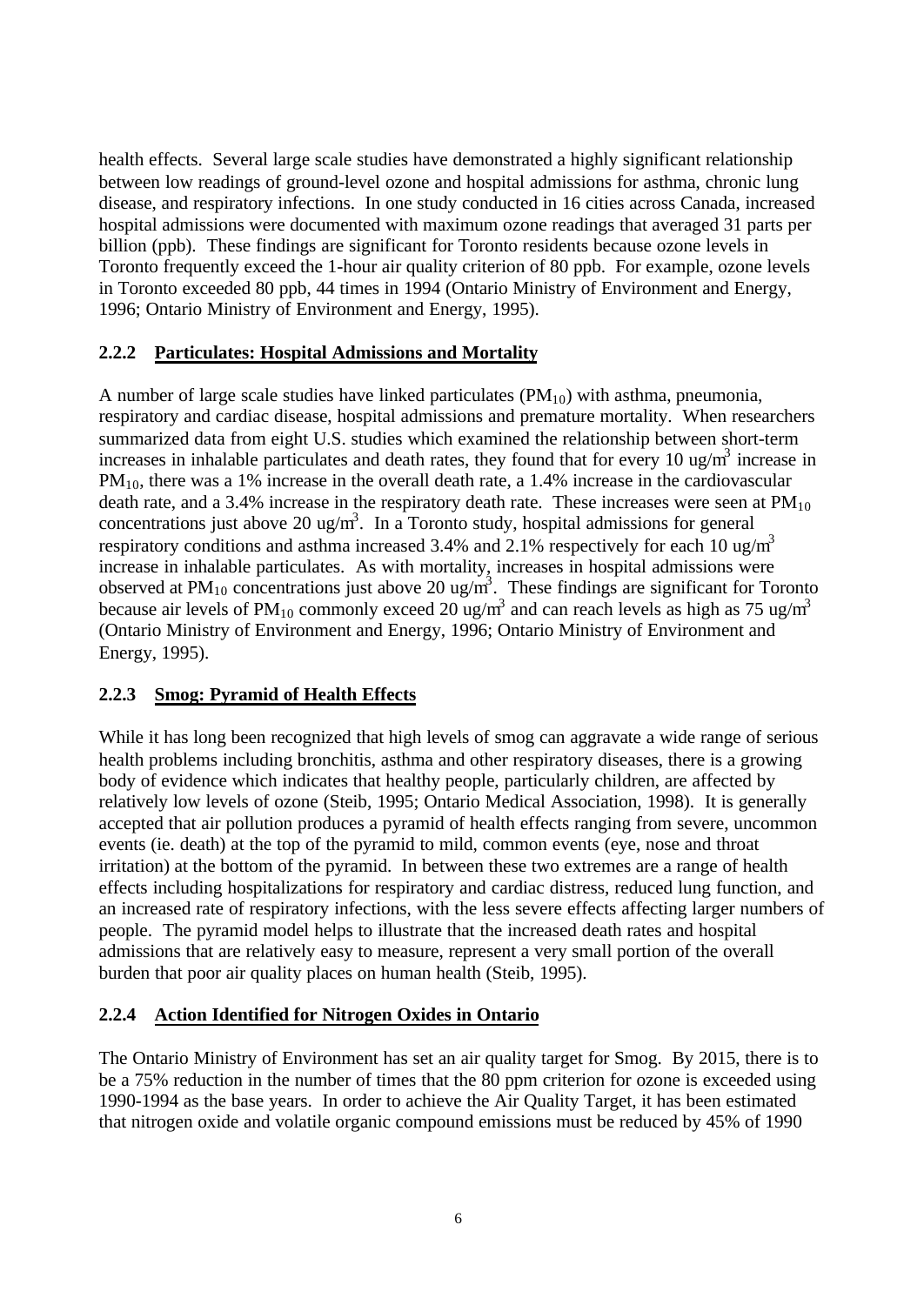health effects. Several large scale studies have demonstrated a highly significant relationship between low readings of ground-level ozone and hospital admissions for asthma, chronic lung disease, and respiratory infections. In one study conducted in 16 cities across Canada, increased hospital admissions were documented with maximum ozone readings that averaged 31 parts per billion (ppb). These findings are significant for Toronto residents because ozone levels in Toronto frequently exceed the 1-hour air quality criterion of 80 ppb. For example, ozone levels in Toronto exceeded 80 ppb, 44 times in 1994 (Ontario Ministry of Environment and Energy, 1996; Ontario Ministry of Environment and Energy, 1995).

#### **2.2.2 Particulates: Hospital Admissions and Mortality**

A number of large scale studies have linked particulates  $(PM_{10})$  with asthma, pneumonia, respiratory and cardiac disease, hospital admissions and premature mortality. When researchers summarized data from eight U.S. studies which examined the relationship between short-term increases in inhalable particulates and death rates, they found that for every 10 ug/m<sup>3</sup> increase in  $PM_{10}$ , there was a 1% increase in the overall death rate, a 1.4% increase in the cardiovascular death rate, and a 3.4% increase in the respiratory death rate. These increases were seen at  $PM_{10}$ concentrations just above 20 ug/m<sup>3</sup>. In a Toronto study, hospital admissions for general respiratory conditions and asthma increased 3.4% and 2.1% respectively for each 10 ug/m<sup>3</sup> increase in inhalable particulates. As with mortality, increases in hospital admissions were observed at PM<sub>10</sub> concentrations just above 20 ug/m<sup>3</sup>. These findings are significant for Toronto because air levels of PM<sub>10</sub> commonly exceed 20 ug/m<sup>3</sup> and can reach levels as high as 75 ug/m<sup>3</sup> (Ontario Ministry of Environment and Energy, 1996; Ontario Ministry of Environment and Energy, 1995).

#### **2.2.3 Smog: Pyramid of Health Effects**

While it has long been recognized that high levels of smog can aggravate a wide range of serious health problems including bronchitis, asthma and other respiratory diseases, there is a growing body of evidence which indicates that healthy people, particularly children, are affected by relatively low levels of ozone (Steib, 1995; Ontario Medical Association, 1998). It is generally accepted that air pollution produces a pyramid of health effects ranging from severe, uncommon events (ie. death) at the top of the pyramid to mild, common events (eye, nose and throat irritation) at the bottom of the pyramid. In between these two extremes are a range of health effects including hospitalizations for respiratory and cardiac distress, reduced lung function, and an increased rate of respiratory infections, with the less severe effects affecting larger numbers of people. The pyramid model helps to illustrate that the increased death rates and hospital admissions that are relatively easy to measure, represent a very small portion of the overall burden that poor air quality places on human health (Steib, 1995).

#### **2.2.4 Action Identified for Nitrogen Oxides in Ontario**

The Ontario Ministry of Environment has set an air quality target for Smog. By 2015, there is to be a 75% reduction in the number of times that the 80 ppm criterion for ozone is exceeded using 1990-1994 as the base years. In order to achieve the Air Quality Target, it has been estimated that nitrogen oxide and volatile organic compound emissions must be reduced by 45% of 1990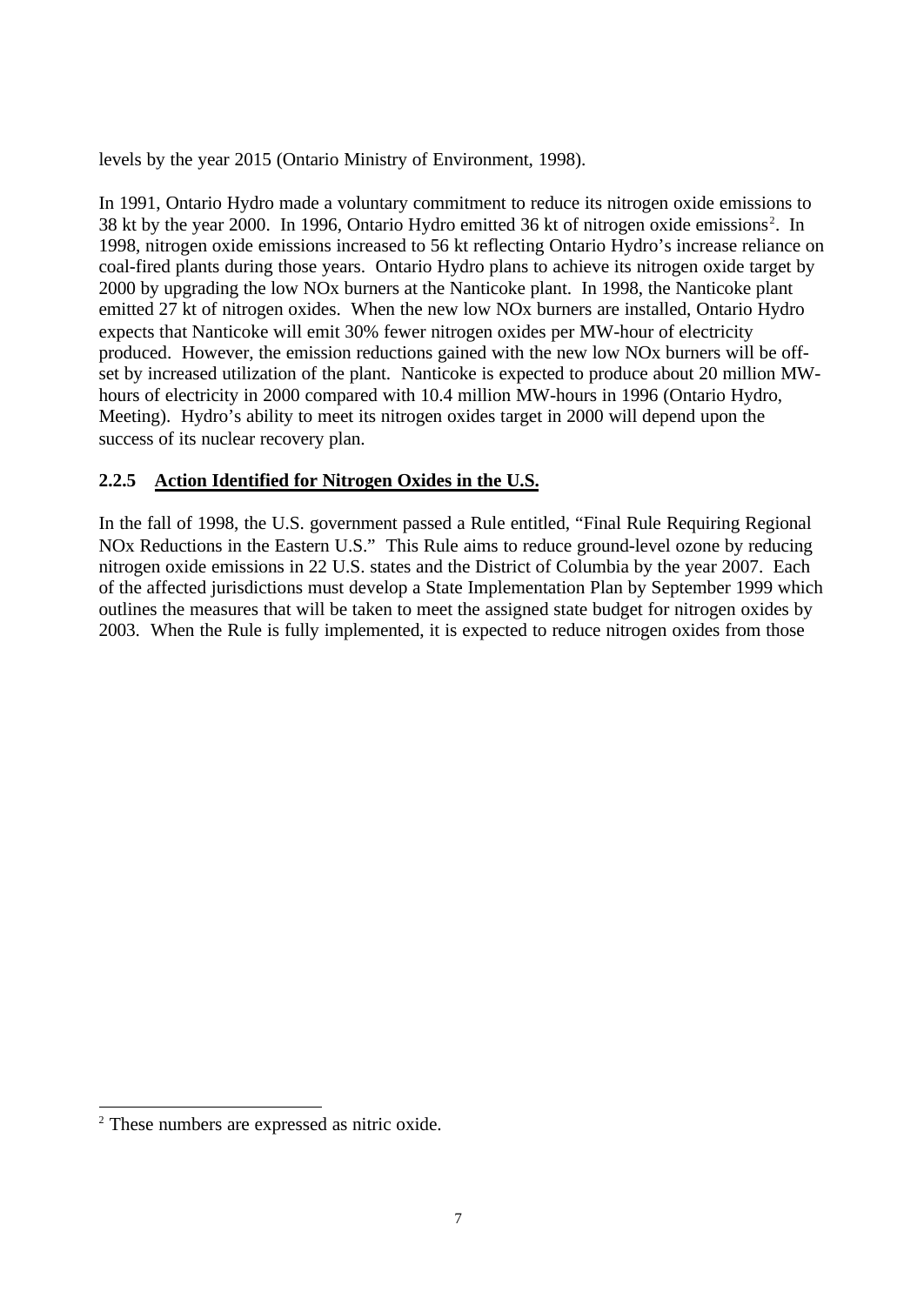levels by the year 2015 (Ontario Ministry of Environment, 1998).

In 1991, Ontario Hydro made a voluntary commitment to reduce its nitrogen oxide emissions to 38 kt by the year 2000. In 1996, Ontario Hydro emitted 36 kt of nitrogen oxide emissions<sup>2</sup>. In 1998, nitrogen oxide emissions increased to 56 kt reflecting Ontario Hydro's increase reliance on coal-fired plants during those years. Ontario Hydro plans to achieve its nitrogen oxide target by 2000 by upgrading the low NOx burners at the Nanticoke plant. In 1998, the Nanticoke plant emitted 27 kt of nitrogen oxides. When the new low NOx burners are installed, Ontario Hydro expects that Nanticoke will emit 30% fewer nitrogen oxides per MW-hour of electricity produced. However, the emission reductions gained with the new low NOx burners will be offset by increased utilization of the plant. Nanticoke is expected to produce about 20 million MWhours of electricity in 2000 compared with 10.4 million MW-hours in 1996 (Ontario Hydro, Meeting). Hydro's ability to meet its nitrogen oxides target in 2000 will depend upon the success of its nuclear recovery plan.

#### **2.2.5 Action Identified for Nitrogen Oxides in the U.S.**

In the fall of 1998, the U.S. government passed a Rule entitled, "Final Rule Requiring Regional NOx Reductions in the Eastern U.S." This Rule aims to reduce ground-level ozone by reducing nitrogen oxide emissions in 22 U.S. states and the District of Columbia by the year 2007. Each of the affected jurisdictions must develop a State Implementation Plan by September 1999 which outlines the measures that will be taken to meet the assigned state budget for nitrogen oxides by 2003. When the Rule is fully implemented, it is expected to reduce nitrogen oxides from those

l

<sup>2</sup> These numbers are expressed as nitric oxide.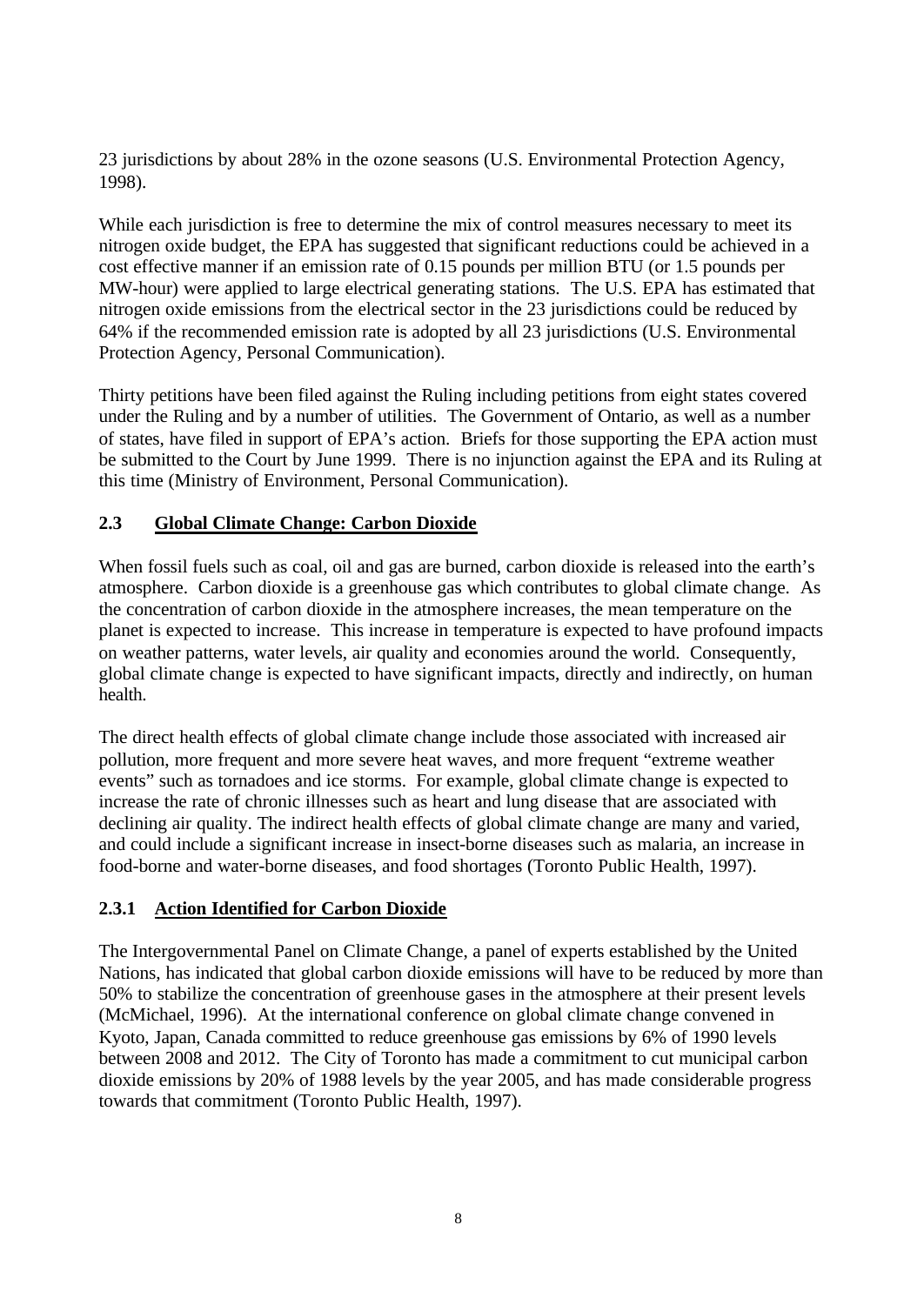23 jurisdictions by about 28% in the ozone seasons (U.S. Environmental Protection Agency, 1998).

While each jurisdiction is free to determine the mix of control measures necessary to meet its nitrogen oxide budget, the EPA has suggested that significant reductions could be achieved in a cost effective manner if an emission rate of 0.15 pounds per million BTU (or 1.5 pounds per MW-hour) were applied to large electrical generating stations. The U.S. EPA has estimated that nitrogen oxide emissions from the electrical sector in the 23 jurisdictions could be reduced by 64% if the recommended emission rate is adopted by all 23 jurisdictions (U.S. Environmental Protection Agency, Personal Communication).

Thirty petitions have been filed against the Ruling including petitions from eight states covered under the Ruling and by a number of utilities. The Government of Ontario, as well as a number of states, have filed in support of EPA's action. Briefs for those supporting the EPA action must be submitted to the Court by June 1999. There is no injunction against the EPA and its Ruling at this time (Ministry of Environment, Personal Communication).

#### **2.3 Global Climate Change: Carbon Dioxide**

When fossil fuels such as coal, oil and gas are burned, carbon dioxide is released into the earth's atmosphere. Carbon dioxide is a greenhouse gas which contributes to global climate change. As the concentration of carbon dioxide in the atmosphere increases, the mean temperature on the planet is expected to increase. This increase in temperature is expected to have profound impacts on weather patterns, water levels, air quality and economies around the world. Consequently, global climate change is expected to have significant impacts, directly and indirectly, on human health.

The direct health effects of global climate change include those associated with increased air pollution, more frequent and more severe heat waves, and more frequent "extreme weather events" such as tornadoes and ice storms. For example, global climate change is expected to increase the rate of chronic illnesses such as heart and lung disease that are associated with declining air quality. The indirect health effects of global climate change are many and varied, and could include a significant increase in insect-borne diseases such as malaria, an increase in food-borne and water-borne diseases, and food shortages (Toronto Public Health, 1997).

#### **2.3.1 Action Identified for Carbon Dioxide**

The Intergovernmental Panel on Climate Change, a panel of experts established by the United Nations, has indicated that global carbon dioxide emissions will have to be reduced by more than 50% to stabilize the concentration of greenhouse gases in the atmosphere at their present levels (McMichael, 1996). At the international conference on global climate change convened in Kyoto, Japan, Canada committed to reduce greenhouse gas emissions by 6% of 1990 levels between 2008 and 2012. The City of Toronto has made a commitment to cut municipal carbon dioxide emissions by 20% of 1988 levels by the year 2005, and has made considerable progress towards that commitment (Toronto Public Health, 1997).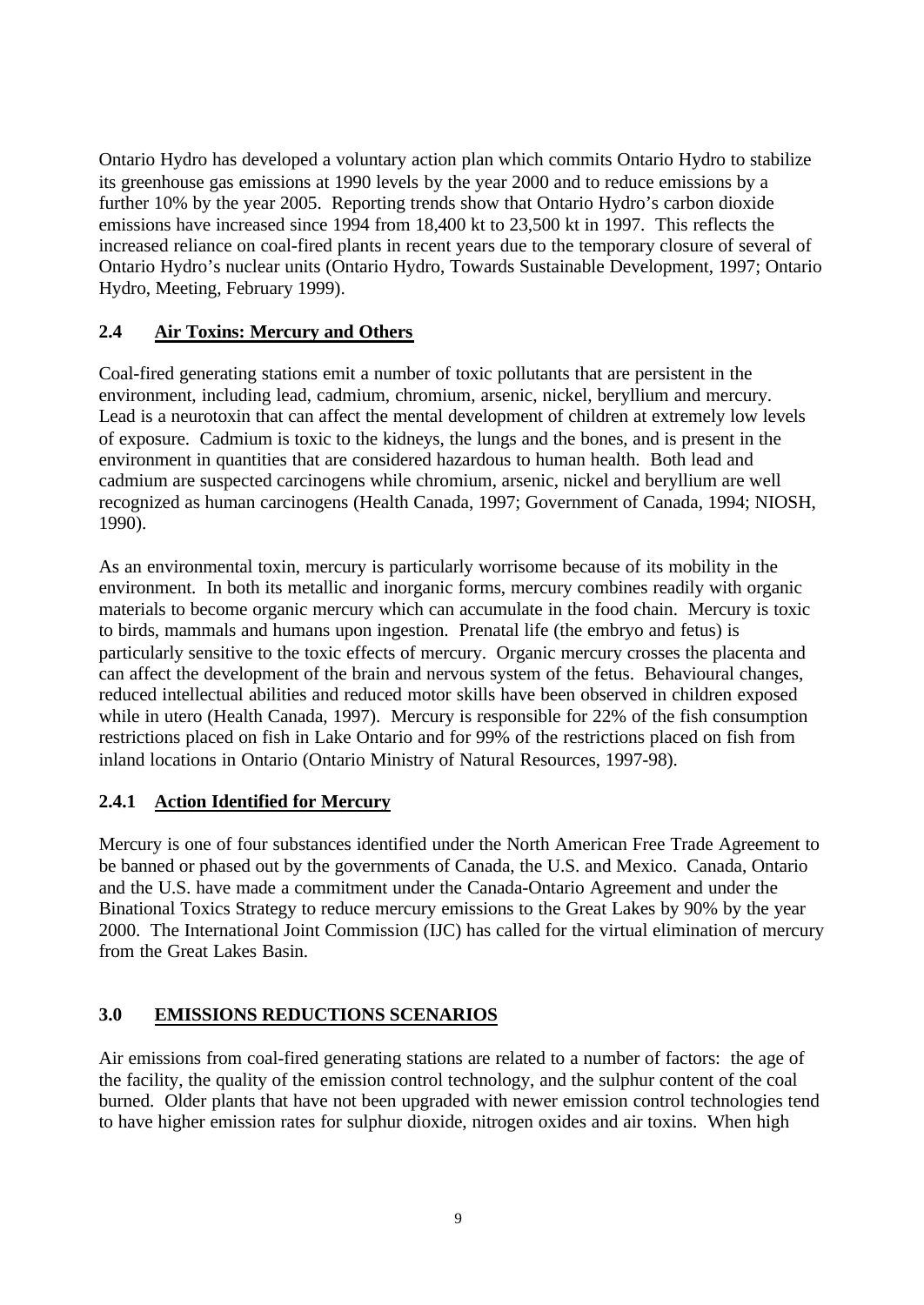Ontario Hydro has developed a voluntary action plan which commits Ontario Hydro to stabilize its greenhouse gas emissions at 1990 levels by the year 2000 and to reduce emissions by a further 10% by the year 2005. Reporting trends show that Ontario Hydro's carbon dioxide emissions have increased since 1994 from 18,400 kt to 23,500 kt in 1997. This reflects the increased reliance on coal-fired plants in recent years due to the temporary closure of several of Ontario Hydro's nuclear units (Ontario Hydro, Towards Sustainable Development, 1997; Ontario Hydro, Meeting, February 1999).

#### **2.4 Air Toxins: Mercury and Others**

Coal-fired generating stations emit a number of toxic pollutants that are persistent in the environment, including lead, cadmium, chromium, arsenic, nickel, beryllium and mercury. Lead is a neurotoxin that can affect the mental development of children at extremely low levels of exposure. Cadmium is toxic to the kidneys, the lungs and the bones, and is present in the environment in quantities that are considered hazardous to human health. Both lead and cadmium are suspected carcinogens while chromium, arsenic, nickel and beryllium are well recognized as human carcinogens (Health Canada, 1997; Government of Canada, 1994; NIOSH, 1990).

As an environmental toxin, mercury is particularly worrisome because of its mobility in the environment. In both its metallic and inorganic forms, mercury combines readily with organic materials to become organic mercury which can accumulate in the food chain. Mercury is toxic to birds, mammals and humans upon ingestion. Prenatal life (the embryo and fetus) is particularly sensitive to the toxic effects of mercury. Organic mercury crosses the placenta and can affect the development of the brain and nervous system of the fetus. Behavioural changes, reduced intellectual abilities and reduced motor skills have been observed in children exposed while in utero (Health Canada, 1997). Mercury is responsible for 22% of the fish consumption restrictions placed on fish in Lake Ontario and for 99% of the restrictions placed on fish from inland locations in Ontario (Ontario Ministry of Natural Resources, 1997-98).

#### **2.4.1 Action Identified for Mercury**

Mercury is one of four substances identified under the North American Free Trade Agreement to be banned or phased out by the governments of Canada, the U.S. and Mexico. Canada, Ontario and the U.S. have made a commitment under the Canada-Ontario Agreement and under the Binational Toxics Strategy to reduce mercury emissions to the Great Lakes by 90% by the year 2000. The International Joint Commission (IJC) has called for the virtual elimination of mercury from the Great Lakes Basin.

## **3.0 EMISSIONS REDUCTIONS SCENARIOS**

Air emissions from coal-fired generating stations are related to a number of factors: the age of the facility, the quality of the emission control technology, and the sulphur content of the coal burned. Older plants that have not been upgraded with newer emission control technologies tend to have higher emission rates for sulphur dioxide, nitrogen oxides and air toxins. When high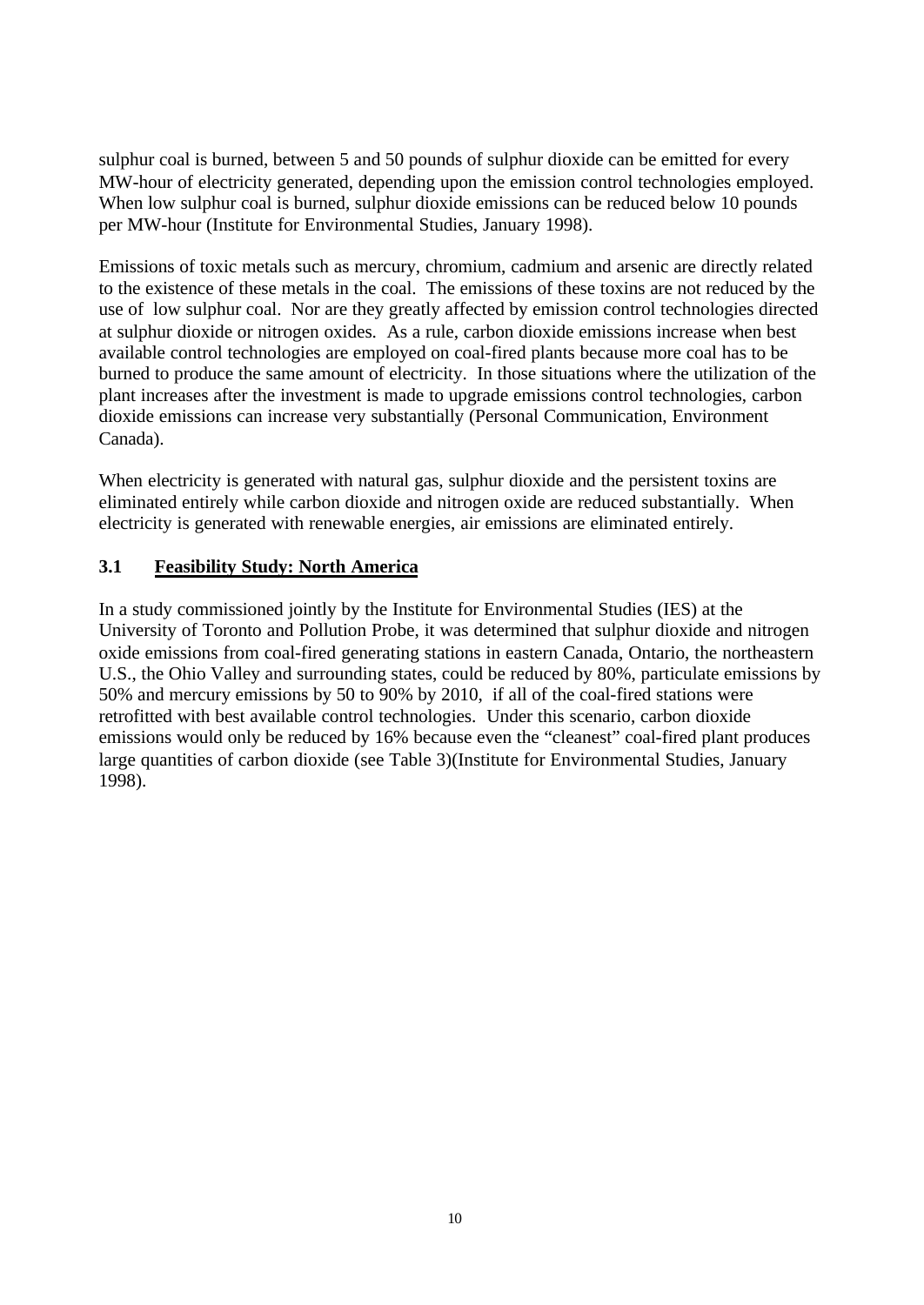sulphur coal is burned, between 5 and 50 pounds of sulphur dioxide can be emitted for every MW-hour of electricity generated, depending upon the emission control technologies employed. When low sulphur coal is burned, sulphur dioxide emissions can be reduced below 10 pounds per MW-hour (Institute for Environmental Studies, January 1998).

Emissions of toxic metals such as mercury, chromium, cadmium and arsenic are directly related to the existence of these metals in the coal. The emissions of these toxins are not reduced by the use of low sulphur coal. Nor are they greatly affected by emission control technologies directed at sulphur dioxide or nitrogen oxides. As a rule, carbon dioxide emissions increase when best available control technologies are employed on coal-fired plants because more coal has to be burned to produce the same amount of electricity. In those situations where the utilization of the plant increases after the investment is made to upgrade emissions control technologies, carbon dioxide emissions can increase very substantially (Personal Communication, Environment Canada).

When electricity is generated with natural gas, sulphur dioxide and the persistent toxins are eliminated entirely while carbon dioxide and nitrogen oxide are reduced substantially. When electricity is generated with renewable energies, air emissions are eliminated entirely.

#### **3.1 Feasibility Study: North America**

In a study commissioned jointly by the Institute for Environmental Studies (IES) at the University of Toronto and Pollution Probe, it was determined that sulphur dioxide and nitrogen oxide emissions from coal-fired generating stations in eastern Canada, Ontario, the northeastern U.S., the Ohio Valley and surrounding states, could be reduced by 80%, particulate emissions by 50% and mercury emissions by 50 to 90% by 2010, if all of the coal-fired stations were retrofitted with best available control technologies. Under this scenario, carbon dioxide emissions would only be reduced by 16% because even the "cleanest" coal-fired plant produces large quantities of carbon dioxide (see Table 3)(Institute for Environmental Studies, January 1998).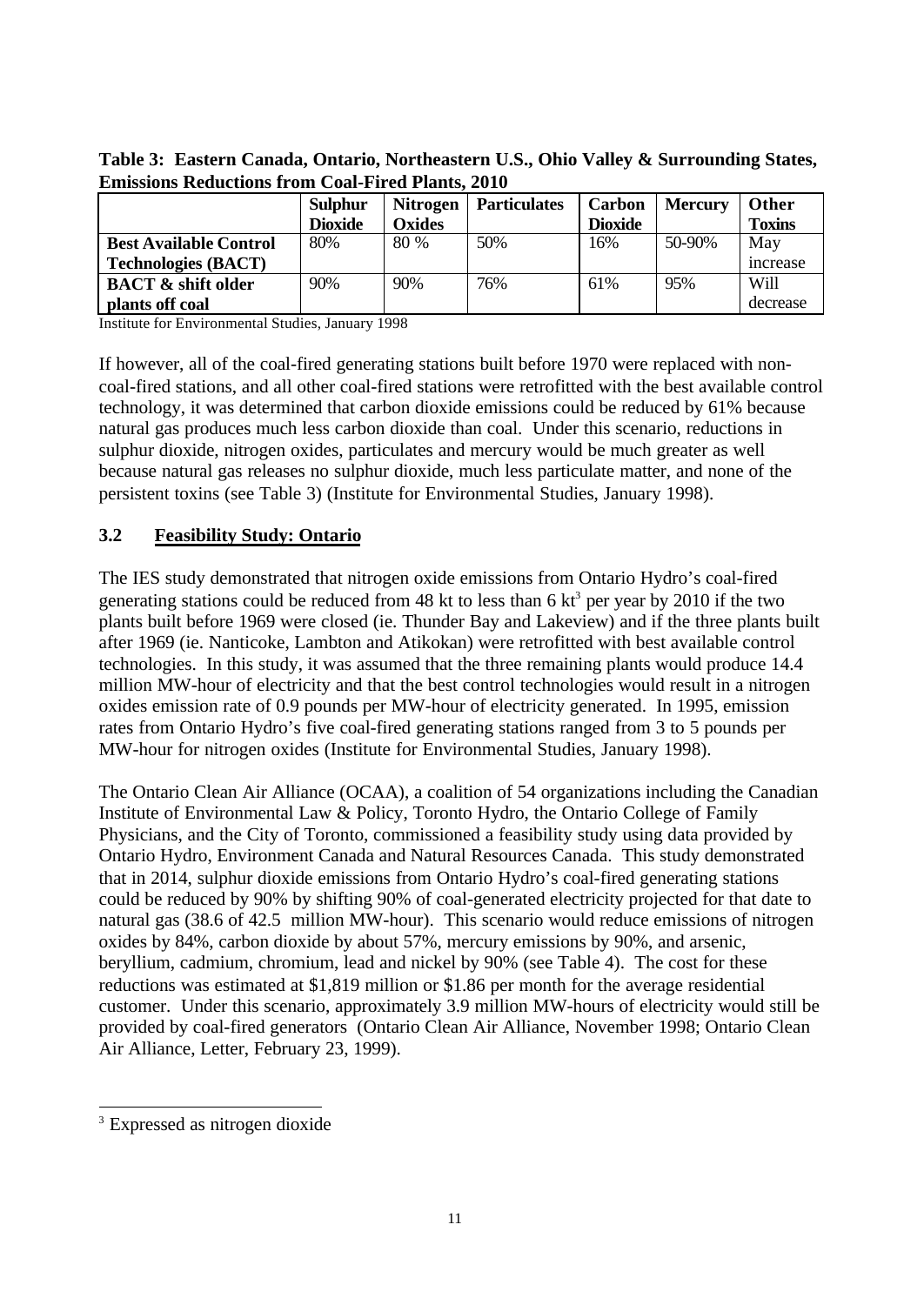|                               | <b>Sulphur</b> | <b>Nitrogen</b> | <b>Particulates</b> | Carbon         | <b>Mercury</b> | <b>Other</b>  |
|-------------------------------|----------------|-----------------|---------------------|----------------|----------------|---------------|
|                               | <b>Dioxide</b> | Oxides          |                     | <b>Dioxide</b> |                | <b>Toxins</b> |
| <b>Best Available Control</b> | 80%            | 80 %            | 50%                 | 16%            | 50-90%         | May           |
| <b>Technologies (BACT)</b>    |                |                 |                     |                |                | increase      |
| <b>BACT &amp; shift older</b> | 90%            | 90%             | 76%                 | 61%            | 95%            | <b>Will</b>   |
| plants off coal               |                |                 |                     |                |                | decrease      |

**Table 3: Eastern Canada, Ontario, Northeastern U.S., Ohio Valley & Surrounding States, Emissions Reductions from Coal-Fired Plants, 2010**

Institute for Environmental Studies, January 1998

If however, all of the coal-fired generating stations built before 1970 were replaced with noncoal-fired stations, and all other coal-fired stations were retrofitted with the best available control technology, it was determined that carbon dioxide emissions could be reduced by 61% because natural gas produces much less carbon dioxide than coal. Under this scenario, reductions in sulphur dioxide, nitrogen oxides, particulates and mercury would be much greater as well because natural gas releases no sulphur dioxide, much less particulate matter, and none of the persistent toxins (see Table 3) (Institute for Environmental Studies, January 1998).

#### **3.2 Feasibility Study: Ontario**

The IES study demonstrated that nitrogen oxide emissions from Ontario Hydro's coal-fired generating stations could be reduced from 48 kt to less than 6  $kt^3$  per year by 2010 if the two plants built before 1969 were closed (ie. Thunder Bay and Lakeview) and if the three plants built after 1969 (ie. Nanticoke, Lambton and Atikokan) were retrofitted with best available control technologies. In this study, it was assumed that the three remaining plants would produce 14.4 million MW-hour of electricity and that the best control technologies would result in a nitrogen oxides emission rate of 0.9 pounds per MW-hour of electricity generated. In 1995, emission rates from Ontario Hydro's five coal-fired generating stations ranged from 3 to 5 pounds per MW-hour for nitrogen oxides (Institute for Environmental Studies, January 1998).

The Ontario Clean Air Alliance (OCAA), a coalition of 54 organizations including the Canadian Institute of Environmental Law & Policy, Toronto Hydro, the Ontario College of Family Physicians, and the City of Toronto, commissioned a feasibility study using data provided by Ontario Hydro, Environment Canada and Natural Resources Canada. This study demonstrated that in 2014, sulphur dioxide emissions from Ontario Hydro's coal-fired generating stations could be reduced by 90% by shifting 90% of coal-generated electricity projected for that date to natural gas (38.6 of 42.5 million MW-hour). This scenario would reduce emissions of nitrogen oxides by 84%, carbon dioxide by about 57%, mercury emissions by 90%, and arsenic, beryllium, cadmium, chromium, lead and nickel by 90% (see Table 4). The cost for these reductions was estimated at \$1,819 million or \$1.86 per month for the average residential customer. Under this scenario, approximately 3.9 million MW-hours of electricity would still be provided by coal-fired generators (Ontario Clean Air Alliance, November 1998; Ontario Clean Air Alliance, Letter, February 23, 1999).

l

<sup>3</sup> Expressed as nitrogen dioxide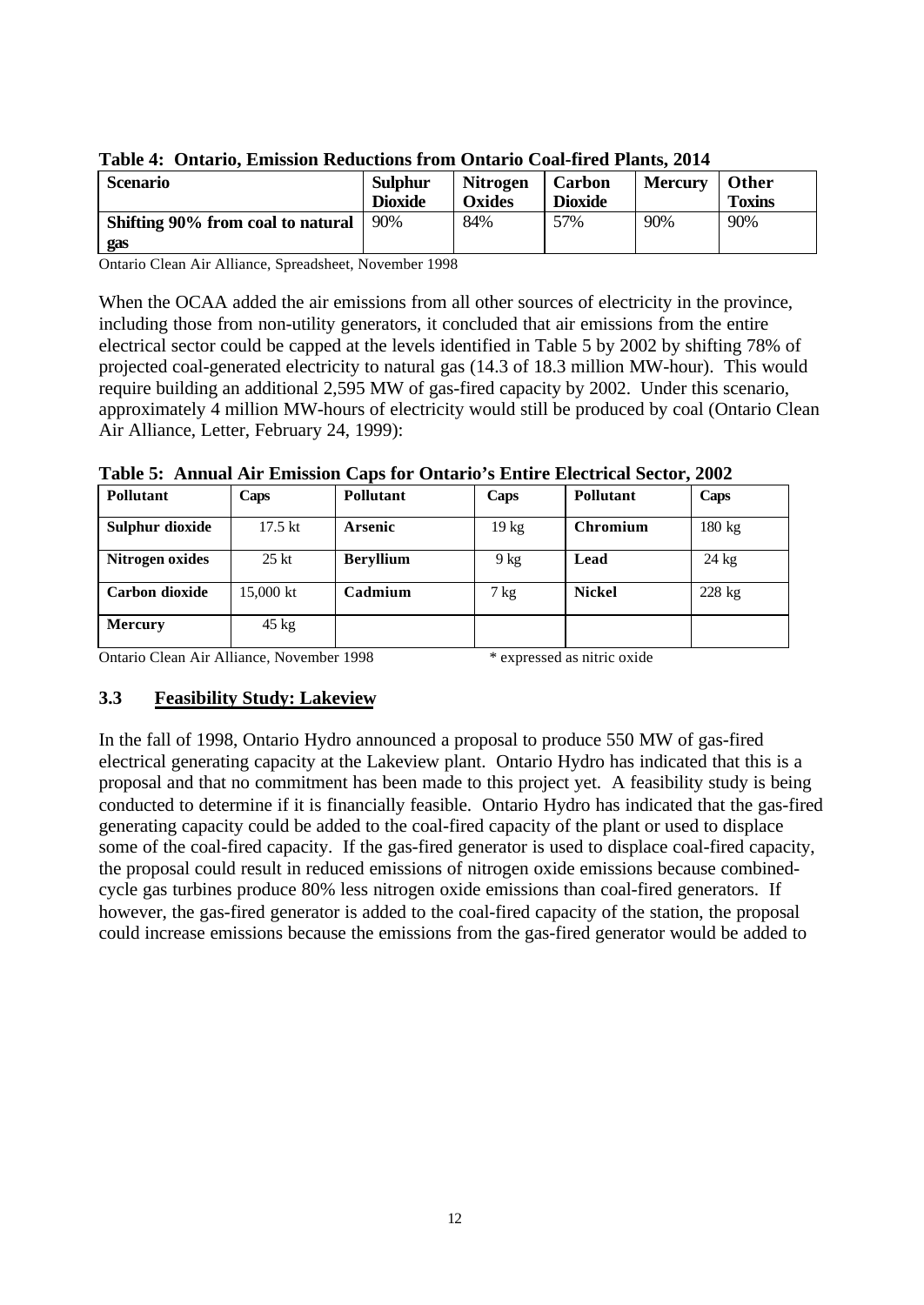|                 | Tavit 7. Ontario, Emissión Regueirmo from Ontario Coaffired Fights, 2017 |                |                 |                |                |               |  |
|-----------------|--------------------------------------------------------------------------|----------------|-----------------|----------------|----------------|---------------|--|
| <b>Scenario</b> |                                                                          | <b>Sulphur</b> | <b>Nitrogen</b> | Carbon         | <b>Mercury</b> | Other         |  |
|                 |                                                                          | <b>Dioxide</b> | <b>Oxides</b>   | <b>Dioxide</b> |                | <b>Toxins</b> |  |
|                 | Shifting 90% from coal to natural                                        | 90%            | 84%             | 57%            | 90%            | 90%           |  |
|                 | gas                                                                      |                |                 |                |                |               |  |

Ontario Clean Air Alliance, Spreadsheet, November 1998

When the OCAA added the air emissions from all other sources of electricity in the province, including those from non-utility generators, it concluded that air emissions from the entire electrical sector could be capped at the levels identified in Table 5 by 2002 by shifting 78% of projected coal-generated electricity to natural gas (14.3 of 18.3 million MW-hour). This would require building an additional 2,595 MW of gas-fired capacity by 2002. Under this scenario, approximately 4 million MW-hours of electricity would still be produced by coal (Ontario Clean Air Alliance, Letter, February 24, 1999):

| Pollutant       | Caps              | Pollutant        | Caps            | Pollutant     | Caps            |
|-----------------|-------------------|------------------|-----------------|---------------|-----------------|
| Sulphur dioxide | $17.5 \text{ kt}$ | <b>Arsenic</b>   | $19 \text{ kg}$ | Chromium      | 180 kg          |
| Nitrogen oxides | $25$ kt           | <b>Beryllium</b> | $9$ kg          | Lead          | $24 \text{ kg}$ |
| Carbon dioxide  | 15,000 kt         | Cadmium          | 7 kg            | <b>Nickel</b> | 228 kg          |
| <b>Mercury</b>  | $45 \text{ kg}$   |                  |                 |               |                 |

**Table 5: Annual Air Emission Caps for Ontario's Entire Electrical Sector, 2002**

Ontario Clean Air Alliance, November 1998 \* expressed as nitric oxide

#### **3.3 Feasibility Study: Lakeview**

In the fall of 1998, Ontario Hydro announced a proposal to produce 550 MW of gas-fired electrical generating capacity at the Lakeview plant. Ontario Hydro has indicated that this is a proposal and that no commitment has been made to this project yet. A feasibility study is being conducted to determine if it is financially feasible. Ontario Hydro has indicated that the gas-fired generating capacity could be added to the coal-fired capacity of the plant or used to displace some of the coal-fired capacity. If the gas-fired generator is used to displace coal-fired capacity, the proposal could result in reduced emissions of nitrogen oxide emissions because combinedcycle gas turbines produce 80% less nitrogen oxide emissions than coal-fired generators. If however, the gas-fired generator is added to the coal-fired capacity of the station, the proposal could increase emissions because the emissions from the gas-fired generator would be added to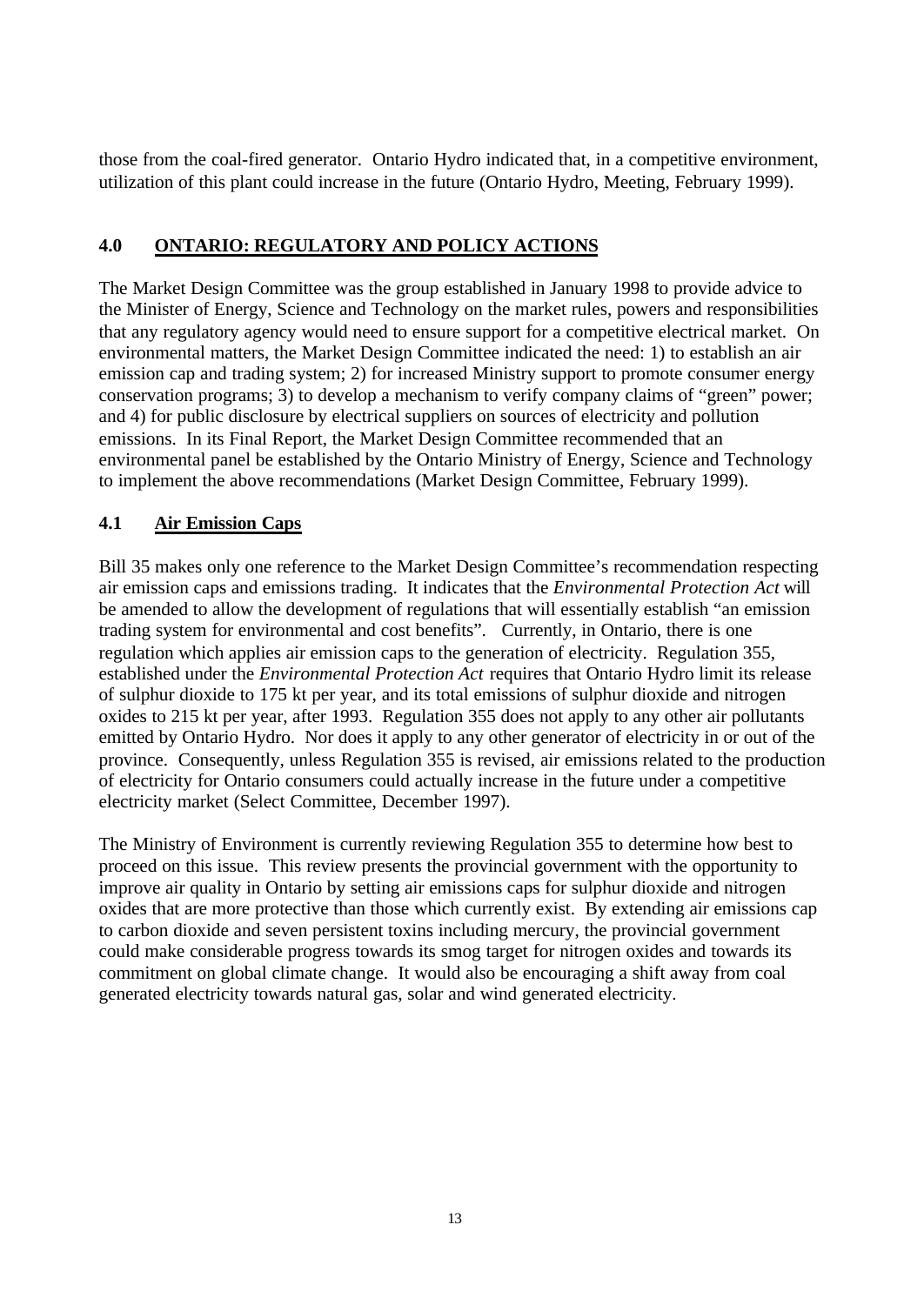those from the coal-fired generator. Ontario Hydro indicated that, in a competitive environment, utilization of this plant could increase in the future (Ontario Hydro, Meeting, February 1999).

#### **4.0 ONTARIO: REGULATORY AND POLICY ACTIONS**

The Market Design Committee was the group established in January 1998 to provide advice to the Minister of Energy, Science and Technology on the market rules, powers and responsibilities that any regulatory agency would need to ensure support for a competitive electrical market. On environmental matters, the Market Design Committee indicated the need: 1) to establish an air emission cap and trading system; 2) for increased Ministry support to promote consumer energy conservation programs; 3) to develop a mechanism to verify company claims of "green" power; and 4) for public disclosure by electrical suppliers on sources of electricity and pollution emissions. In its Final Report, the Market Design Committee recommended that an environmental panel be established by the Ontario Ministry of Energy, Science and Technology to implement the above recommendations (Market Design Committee, February 1999).

## **4.1 Air Emission Caps**

Bill 35 makes only one reference to the Market Design Committee's recommendation respecting air emission caps and emissions trading. It indicates that the *Environmental Protection Act* will be amended to allow the development of regulations that will essentially establish "an emission trading system for environmental and cost benefits". Currently, in Ontario, there is one regulation which applies air emission caps to the generation of electricity. Regulation 355, established under the *Environmental Protection Act* requires that Ontario Hydro limit its release of sulphur dioxide to 175 kt per year, and its total emissions of sulphur dioxide and nitrogen oxides to 215 kt per year, after 1993. Regulation 355 does not apply to any other air pollutants emitted by Ontario Hydro. Nor does it apply to any other generator of electricity in or out of the province. Consequently, unless Regulation 355 is revised, air emissions related to the production of electricity for Ontario consumers could actually increase in the future under a competitive electricity market (Select Committee, December 1997).

The Ministry of Environment is currently reviewing Regulation 355 to determine how best to proceed on this issue. This review presents the provincial government with the opportunity to improve air quality in Ontario by setting air emissions caps for sulphur dioxide and nitrogen oxides that are more protective than those which currently exist. By extending air emissions cap to carbon dioxide and seven persistent toxins including mercury, the provincial government could make considerable progress towards its smog target for nitrogen oxides and towards its commitment on global climate change. It would also be encouraging a shift away from coal generated electricity towards natural gas, solar and wind generated electricity.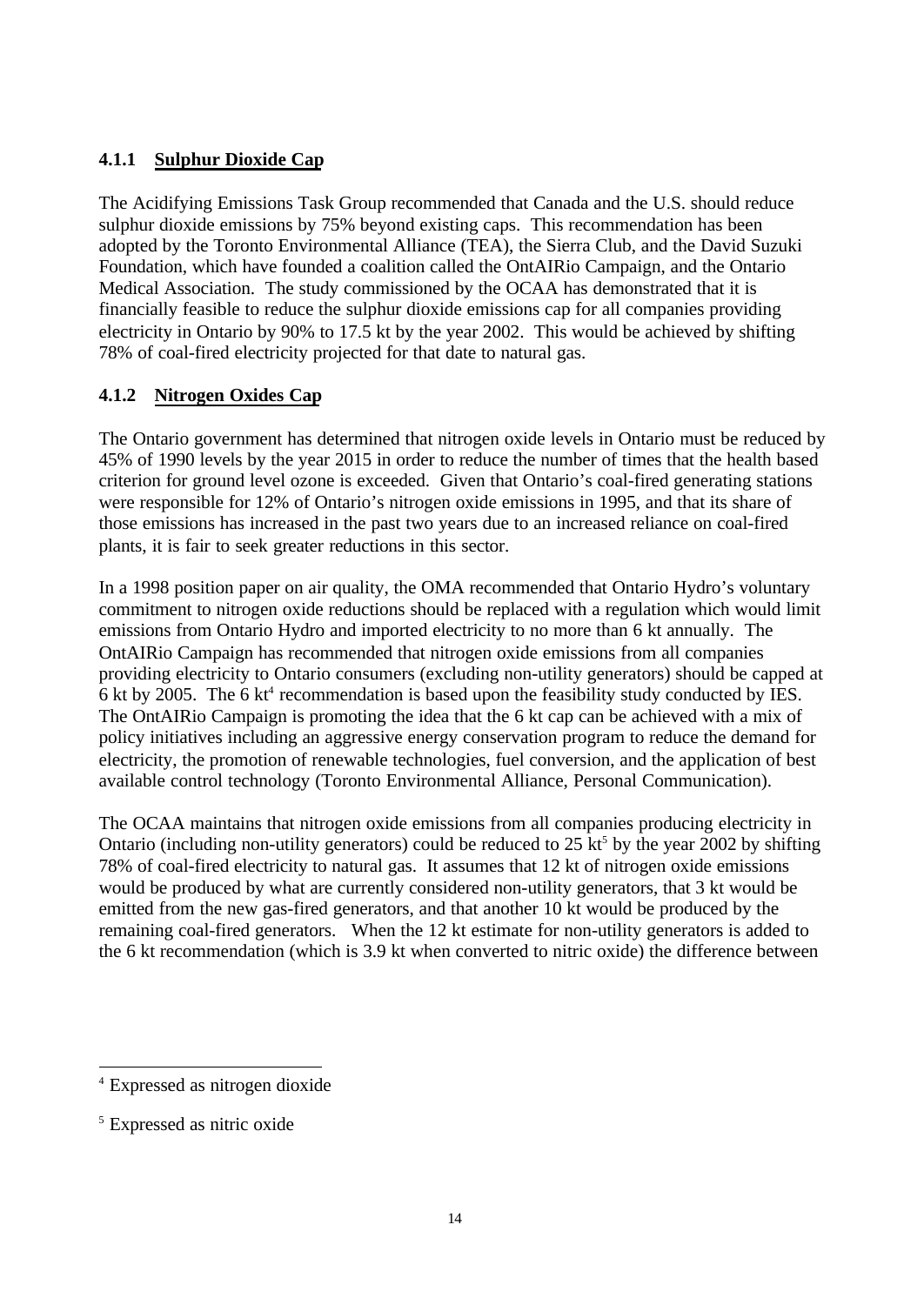## **4.1.1 Sulphur Dioxide Cap**

The Acidifying Emissions Task Group recommended that Canada and the U.S. should reduce sulphur dioxide emissions by 75% beyond existing caps. This recommendation has been adopted by the Toronto Environmental Alliance (TEA), the Sierra Club, and the David Suzuki Foundation, which have founded a coalition called the OntAIRio Campaign, and the Ontario Medical Association. The study commissioned by the OCAA has demonstrated that it is financially feasible to reduce the sulphur dioxide emissions cap for all companies providing electricity in Ontario by 90% to 17.5 kt by the year 2002. This would be achieved by shifting 78% of coal-fired electricity projected for that date to natural gas.

#### **4.1.2 Nitrogen Oxides Cap**

The Ontario government has determined that nitrogen oxide levels in Ontario must be reduced by 45% of 1990 levels by the year 2015 in order to reduce the number of times that the health based criterion for ground level ozone is exceeded. Given that Ontario's coal-fired generating stations were responsible for 12% of Ontario's nitrogen oxide emissions in 1995, and that its share of those emissions has increased in the past two years due to an increased reliance on coal-fired plants, it is fair to seek greater reductions in this sector.

In a 1998 position paper on air quality, the OMA recommended that Ontario Hydro's voluntary commitment to nitrogen oxide reductions should be replaced with a regulation which would limit emissions from Ontario Hydro and imported electricity to no more than 6 kt annually. The OntAIRio Campaign has recommended that nitrogen oxide emissions from all companies providing electricity to Ontario consumers (excluding non-utility generators) should be capped at 6 kt by 2005. The 6  $kt^4$  recommendation is based upon the feasibility study conducted by IES. The OntAIRio Campaign is promoting the idea that the 6 kt cap can be achieved with a mix of policy initiatives including an aggressive energy conservation program to reduce the demand for electricity, the promotion of renewable technologies, fuel conversion, and the application of best available control technology (Toronto Environmental Alliance, Personal Communication).

The OCAA maintains that nitrogen oxide emissions from all companies producing electricity in Ontario (including non-utility generators) could be reduced to  $25 \text{ kt}^5$  by the year 2002 by shifting 78% of coal-fired electricity to natural gas. It assumes that 12 kt of nitrogen oxide emissions would be produced by what are currently considered non-utility generators, that 3 kt would be emitted from the new gas-fired generators, and that another 10 kt would be produced by the remaining coal-fired generators. When the 12 kt estimate for non-utility generators is added to the 6 kt recommendation (which is 3.9 kt when converted to nitric oxide) the difference between

l

<sup>4</sup> Expressed as nitrogen dioxide

<sup>5</sup> Expressed as nitric oxide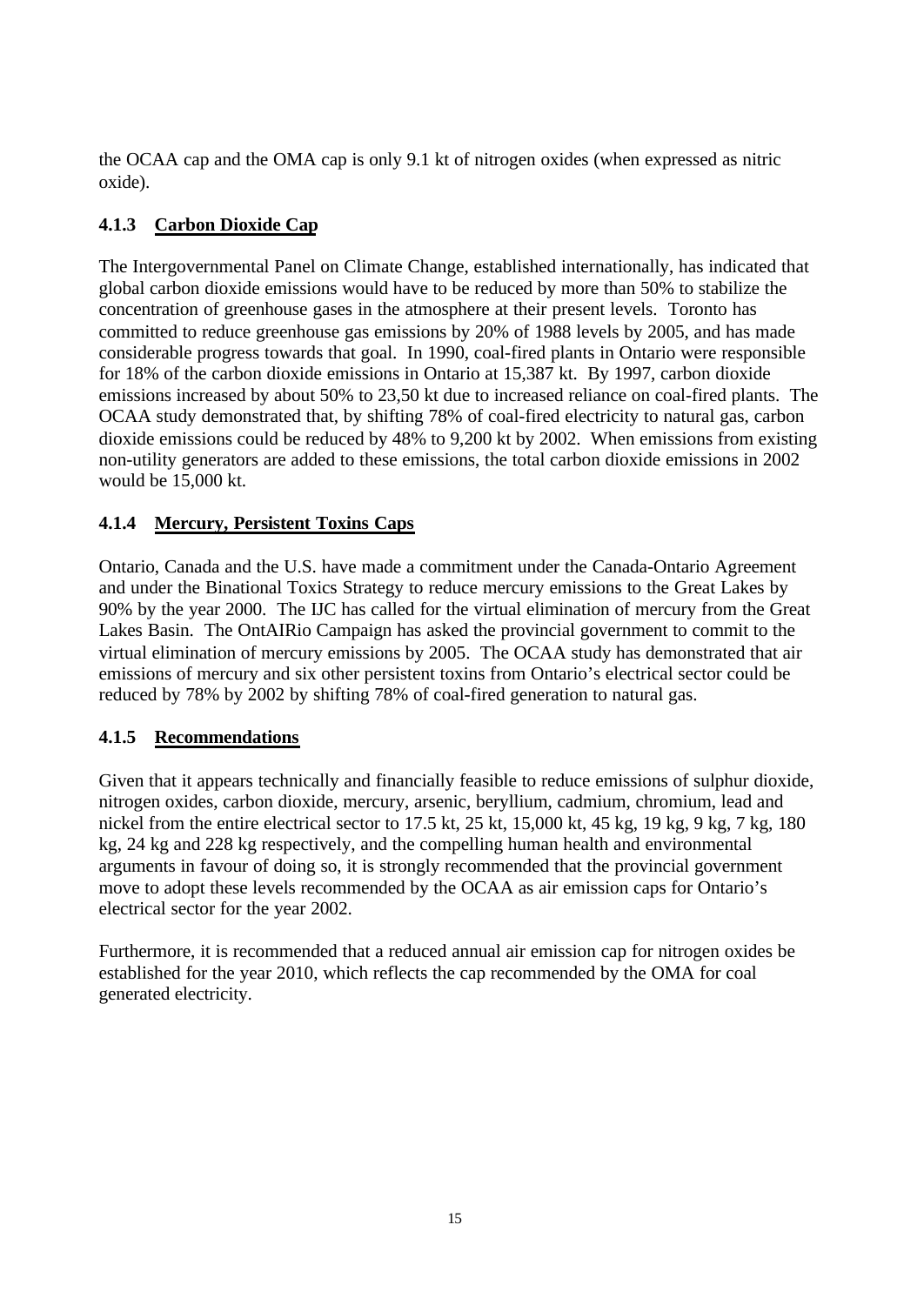the OCAA cap and the OMA cap is only 9.1 kt of nitrogen oxides (when expressed as nitric oxide).

## **4.1.3 Carbon Dioxide Cap**

The Intergovernmental Panel on Climate Change, established internationally, has indicated that global carbon dioxide emissions would have to be reduced by more than 50% to stabilize the concentration of greenhouse gases in the atmosphere at their present levels. Toronto has committed to reduce greenhouse gas emissions by 20% of 1988 levels by 2005, and has made considerable progress towards that goal. In 1990, coal-fired plants in Ontario were responsible for 18% of the carbon dioxide emissions in Ontario at 15,387 kt. By 1997, carbon dioxide emissions increased by about 50% to 23,50 kt due to increased reliance on coal-fired plants. The OCAA study demonstrated that, by shifting 78% of coal-fired electricity to natural gas, carbon dioxide emissions could be reduced by 48% to 9,200 kt by 2002. When emissions from existing non-utility generators are added to these emissions, the total carbon dioxide emissions in 2002 would be 15,000 kt.

## **4.1.4 Mercury, Persistent Toxins Caps**

Ontario, Canada and the U.S. have made a commitment under the Canada-Ontario Agreement and under the Binational Toxics Strategy to reduce mercury emissions to the Great Lakes by 90% by the year 2000. The IJC has called for the virtual elimination of mercury from the Great Lakes Basin. The OntAIRio Campaign has asked the provincial government to commit to the virtual elimination of mercury emissions by 2005. The OCAA study has demonstrated that air emissions of mercury and six other persistent toxins from Ontario's electrical sector could be reduced by 78% by 2002 by shifting 78% of coal-fired generation to natural gas.

## **4.1.5 Recommendations**

Given that it appears technically and financially feasible to reduce emissions of sulphur dioxide, nitrogen oxides, carbon dioxide, mercury, arsenic, beryllium, cadmium, chromium, lead and nickel from the entire electrical sector to 17.5 kt, 25 kt, 15,000 kt, 45 kg, 19 kg, 9 kg, 7 kg, 180 kg, 24 kg and 228 kg respectively, and the compelling human health and environmental arguments in favour of doing so, it is strongly recommended that the provincial government move to adopt these levels recommended by the OCAA as air emission caps for Ontario's electrical sector for the year 2002.

Furthermore, it is recommended that a reduced annual air emission cap for nitrogen oxides be established for the year 2010, which reflects the cap recommended by the OMA for coal generated electricity.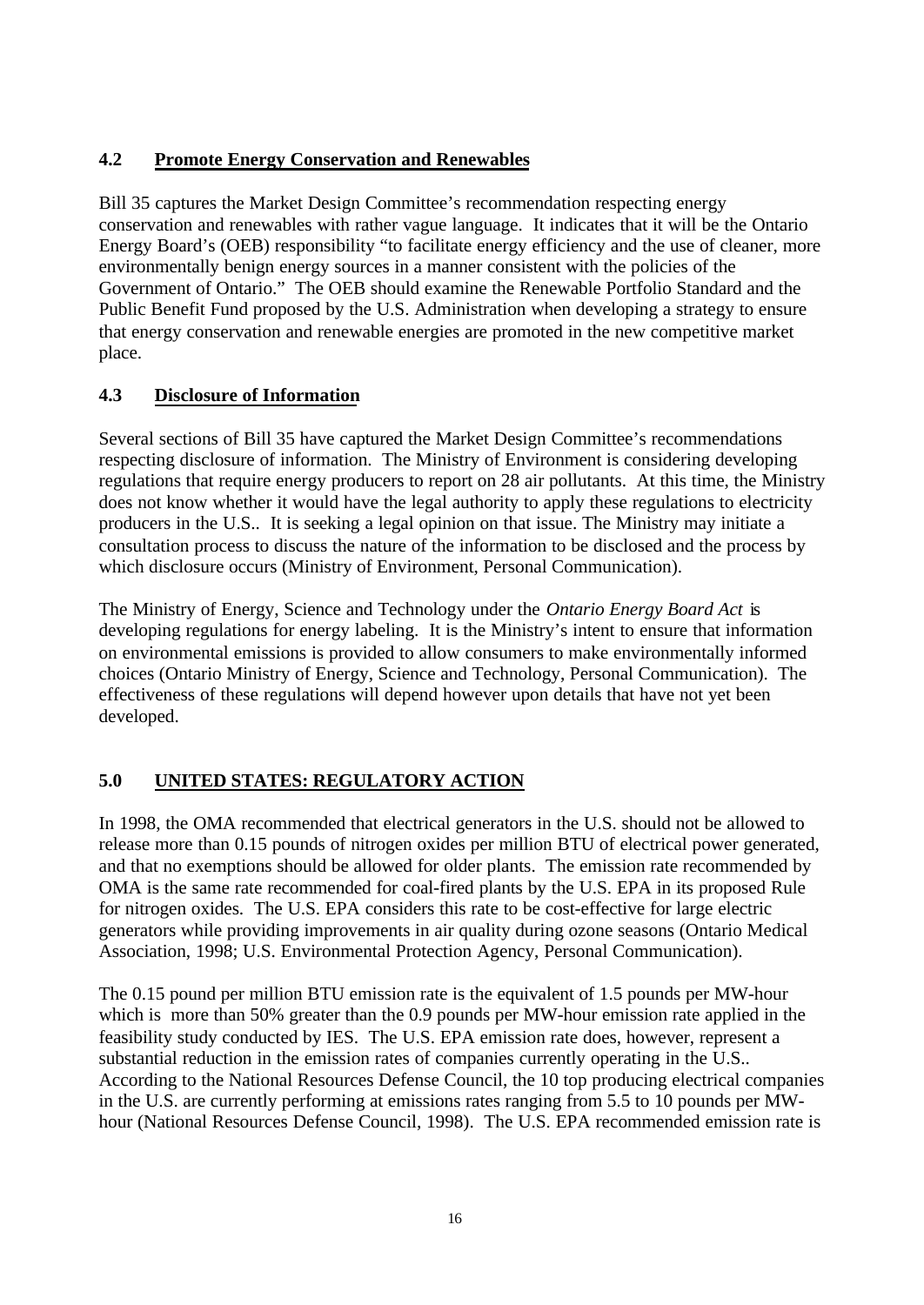## **4.2 Promote Energy Conservation and Renewables**

Bill 35 captures the Market Design Committee's recommendation respecting energy conservation and renewables with rather vague language. It indicates that it will be the Ontario Energy Board's (OEB) responsibility "to facilitate energy efficiency and the use of cleaner, more environmentally benign energy sources in a manner consistent with the policies of the Government of Ontario." The OEB should examine the Renewable Portfolio Standard and the Public Benefit Fund proposed by the U.S. Administration when developing a strategy to ensure that energy conservation and renewable energies are promoted in the new competitive market place.

## **4.3 Disclosure of Information**

Several sections of Bill 35 have captured the Market Design Committee's recommendations respecting disclosure of information. The Ministry of Environment is considering developing regulations that require energy producers to report on 28 air pollutants. At this time, the Ministry does not know whether it would have the legal authority to apply these regulations to electricity producers in the U.S.. It is seeking a legal opinion on that issue. The Ministry may initiate a consultation process to discuss the nature of the information to be disclosed and the process by which disclosure occurs (Ministry of Environment, Personal Communication).

The Ministry of Energy, Science and Technology under the *Ontario Energy Board Act* is developing regulations for energy labeling. It is the Ministry's intent to ensure that information on environmental emissions is provided to allow consumers to make environmentally informed choices (Ontario Ministry of Energy, Science and Technology, Personal Communication). The effectiveness of these regulations will depend however upon details that have not yet been developed.

# **5.0 UNITED STATES: REGULATORY ACTION**

In 1998, the OMA recommended that electrical generators in the U.S. should not be allowed to release more than 0.15 pounds of nitrogen oxides per million BTU of electrical power generated, and that no exemptions should be allowed for older plants. The emission rate recommended by OMA is the same rate recommended for coal-fired plants by the U.S. EPA in its proposed Rule for nitrogen oxides. The U.S. EPA considers this rate to be cost-effective for large electric generators while providing improvements in air quality during ozone seasons (Ontario Medical Association, 1998; U.S. Environmental Protection Agency, Personal Communication).

The 0.15 pound per million BTU emission rate is the equivalent of 1.5 pounds per MW-hour which is more than 50% greater than the 0.9 pounds per MW-hour emission rate applied in the feasibility study conducted by IES. The U.S. EPA emission rate does, however, represent a substantial reduction in the emission rates of companies currently operating in the U.S.. According to the National Resources Defense Council, the 10 top producing electrical companies in the U.S. are currently performing at emissions rates ranging from 5.5 to 10 pounds per MWhour (National Resources Defense Council, 1998). The U.S. EPA recommended emission rate is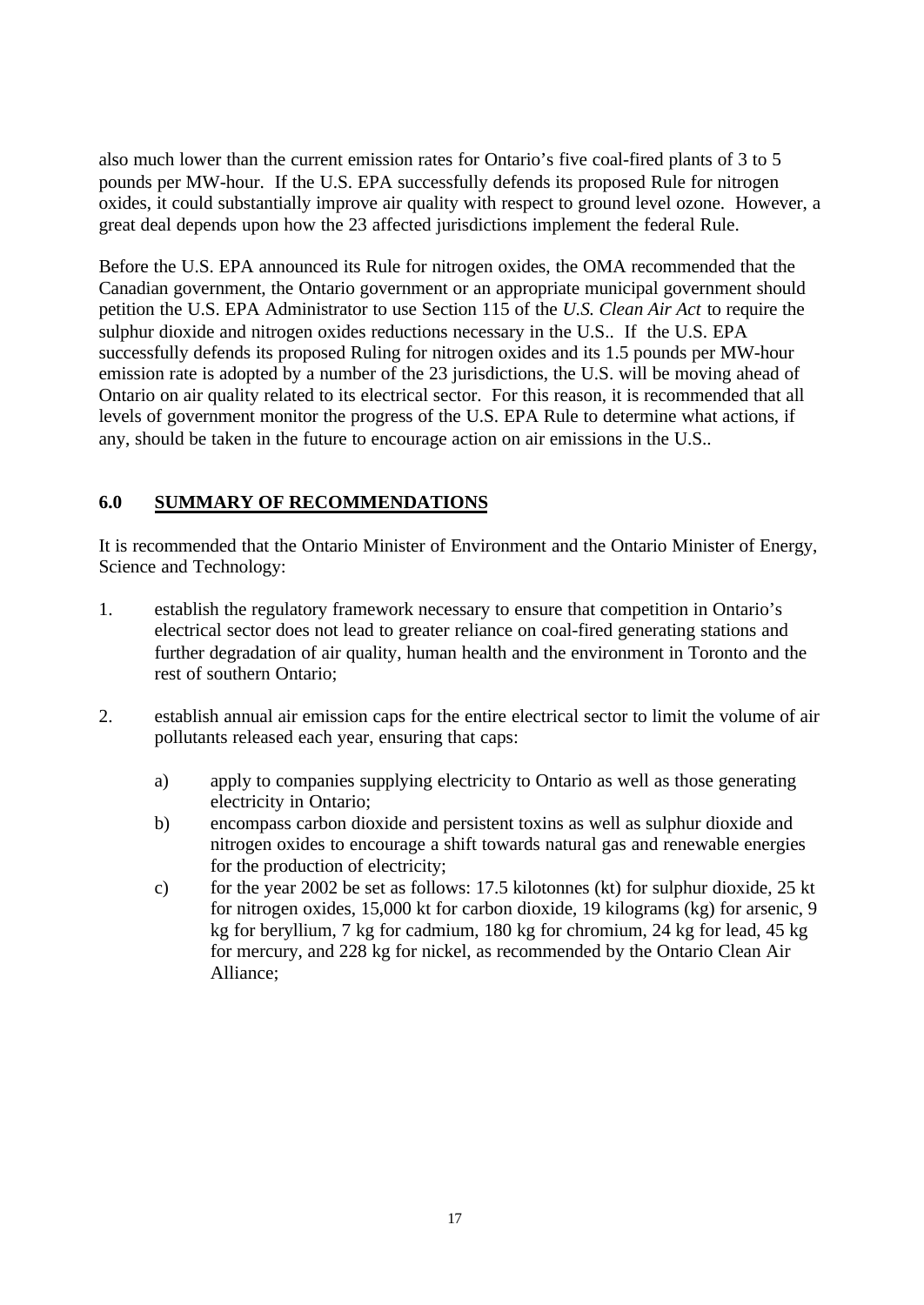also much lower than the current emission rates for Ontario's five coal-fired plants of 3 to 5 pounds per MW-hour. If the U.S. EPA successfully defends its proposed Rule for nitrogen oxides, it could substantially improve air quality with respect to ground level ozone. However, a great deal depends upon how the 23 affected jurisdictions implement the federal Rule.

Before the U.S. EPA announced its Rule for nitrogen oxides, the OMA recommended that the Canadian government, the Ontario government or an appropriate municipal government should petition the U.S. EPA Administrator to use Section 115 of the *U.S. Clean Air Act* to require the sulphur dioxide and nitrogen oxides reductions necessary in the U.S.. If the U.S. EPA successfully defends its proposed Ruling for nitrogen oxides and its 1.5 pounds per MW-hour emission rate is adopted by a number of the 23 jurisdictions, the U.S. will be moving ahead of Ontario on air quality related to its electrical sector. For this reason, it is recommended that all levels of government monitor the progress of the U.S. EPA Rule to determine what actions, if any, should be taken in the future to encourage action on air emissions in the U.S..

## **6.0 SUMMARY OF RECOMMENDATIONS**

It is recommended that the Ontario Minister of Environment and the Ontario Minister of Energy, Science and Technology:

- 1. establish the regulatory framework necessary to ensure that competition in Ontario's electrical sector does not lead to greater reliance on coal-fired generating stations and further degradation of air quality, human health and the environment in Toronto and the rest of southern Ontario;
- 2. establish annual air emission caps for the entire electrical sector to limit the volume of air pollutants released each year, ensuring that caps:
	- a) apply to companies supplying electricity to Ontario as well as those generating electricity in Ontario;
	- b) encompass carbon dioxide and persistent toxins as well as sulphur dioxide and nitrogen oxides to encourage a shift towards natural gas and renewable energies for the production of electricity;
	- c) for the year 2002 be set as follows: 17.5 kilotonnes (kt) for sulphur dioxide, 25 kt for nitrogen oxides, 15,000 kt for carbon dioxide, 19 kilograms (kg) for arsenic, 9 kg for beryllium, 7 kg for cadmium, 180 kg for chromium, 24 kg for lead, 45 kg for mercury, and 228 kg for nickel, as recommended by the Ontario Clean Air Alliance;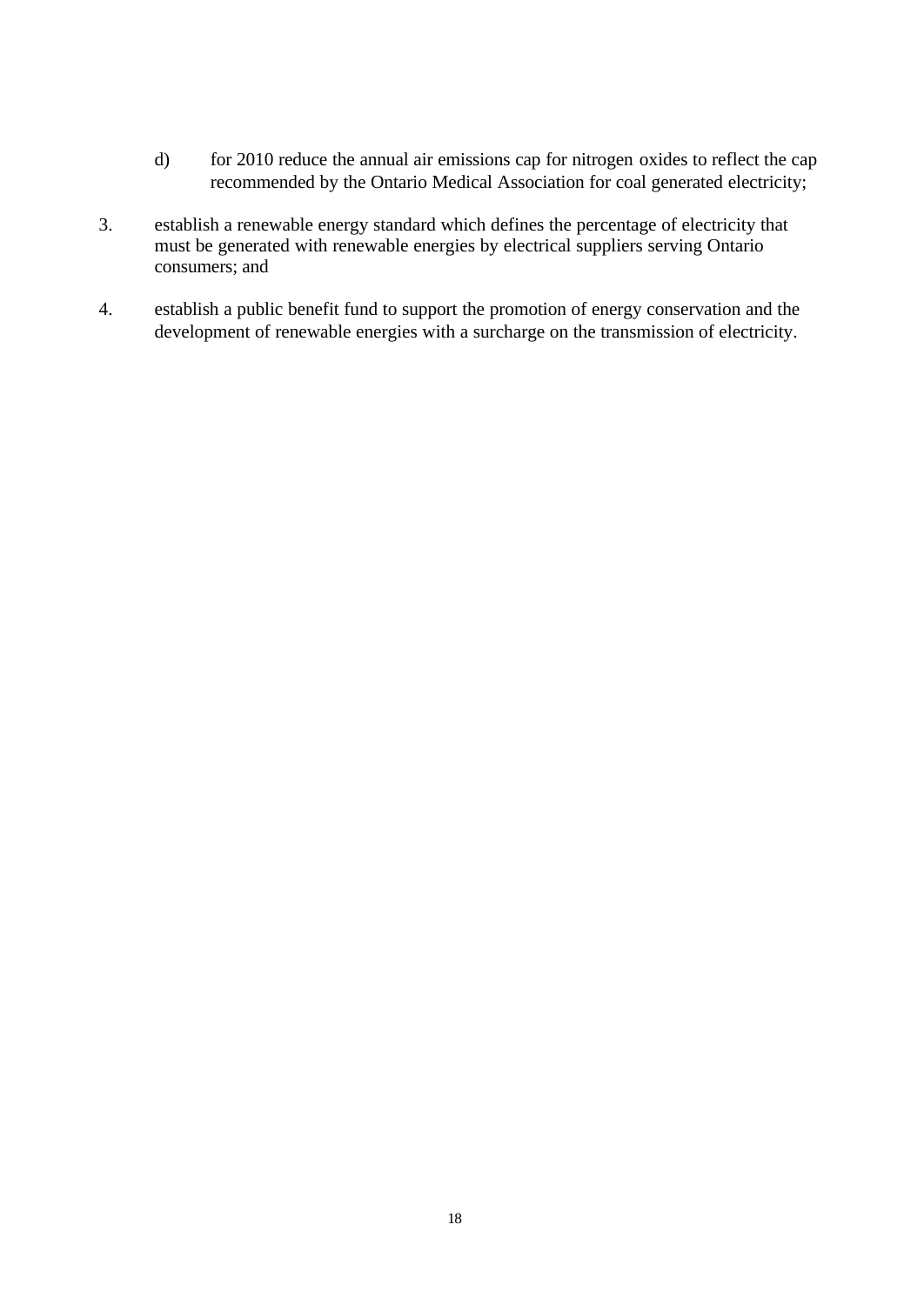- d) for 2010 reduce the annual air emissions cap for nitrogen oxides to reflect the cap recommended by the Ontario Medical Association for coal generated electricity;
- 3. establish a renewable energy standard which defines the percentage of electricity that must be generated with renewable energies by electrical suppliers serving Ontario consumers; and
- 4. establish a public benefit fund to support the promotion of energy conservation and the development of renewable energies with a surcharge on the transmission of electricity.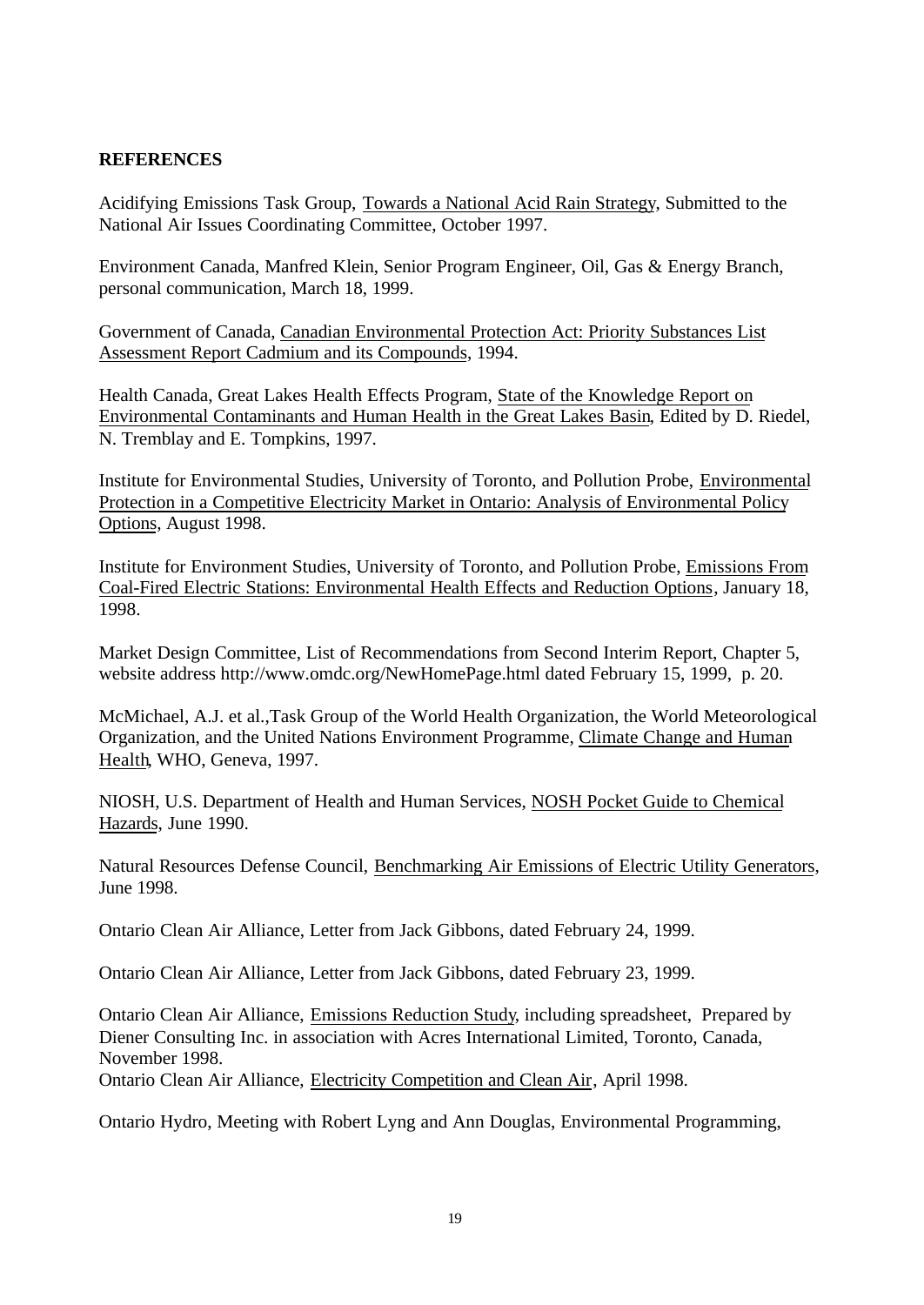#### **REFERENCES**

Acidifying Emissions Task Group, Towards a National Acid Rain Strategy, Submitted to the National Air Issues Coordinating Committee, October 1997.

Environment Canada, Manfred Klein, Senior Program Engineer, Oil, Gas & Energy Branch, personal communication, March 18, 1999.

Government of Canada, Canadian Environmental Protection Act: Priority Substances List Assessment Report Cadmium and its Compounds, 1994.

Health Canada, Great Lakes Health Effects Program, State of the Knowledge Report on Environmental Contaminants and Human Health in the Great Lakes Basin, Edited by D. Riedel, N. Tremblay and E. Tompkins, 1997.

Institute for Environmental Studies, University of Toronto, and Pollution Probe, Environmental Protection in a Competitive Electricity Market in Ontario: Analysis of Environmental Policy Options, August 1998.

Institute for Environment Studies, University of Toronto, and Pollution Probe, Emissions From Coal-Fired Electric Stations: Environmental Health Effects and Reduction Options, January 18, 1998.

Market Design Committee, List of Recommendations from Second Interim Report, Chapter 5, website address http://www.omdc.org/NewHomePage.html dated February 15, 1999, p. 20.

McMichael, A.J. et al.,Task Group of the World Health Organization, the World Meteorological Organization, and the United Nations Environment Programme, Climate Change and Human Health, WHO, Geneva, 1997.

NIOSH, U.S. Department of Health and Human Services, NOSH Pocket Guide to Chemical Hazards, June 1990.

Natural Resources Defense Council, Benchmarking Air Emissions of Electric Utility Generators, June 1998.

Ontario Clean Air Alliance, Letter from Jack Gibbons, dated February 24, 1999.

Ontario Clean Air Alliance, Letter from Jack Gibbons, dated February 23, 1999.

Ontario Clean Air Alliance, Emissions Reduction Study, including spreadsheet, Prepared by Diener Consulting Inc. in association with Acres International Limited, Toronto, Canada, November 1998.

Ontario Clean Air Alliance, Electricity Competition and Clean Air, April 1998.

Ontario Hydro, Meeting with Robert Lyng and Ann Douglas, Environmental Programming,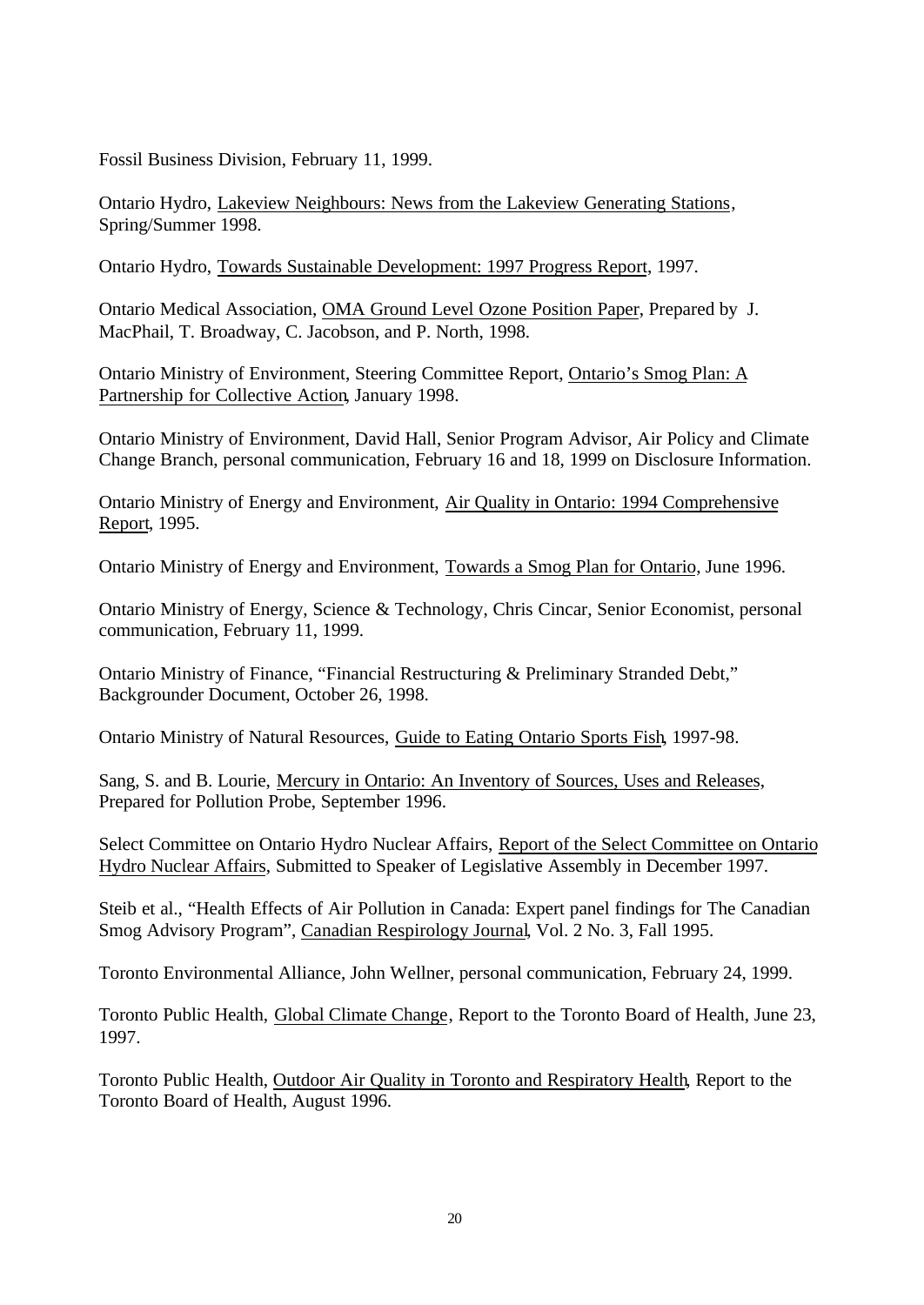Fossil Business Division, February 11, 1999.

Ontario Hydro, Lakeview Neighbours: News from the Lakeview Generating Stations, Spring/Summer 1998.

Ontario Hydro, Towards Sustainable Development: 1997 Progress Report, 1997.

Ontario Medical Association, OMA Ground Level Ozone Position Paper, Prepared by J. MacPhail, T. Broadway, C. Jacobson, and P. North, 1998.

Ontario Ministry of Environment, Steering Committee Report, Ontario's Smog Plan: A Partnership for Collective Action, January 1998.

Ontario Ministry of Environment, David Hall, Senior Program Advisor, Air Policy and Climate Change Branch, personal communication, February 16 and 18, 1999 on Disclosure Information.

Ontario Ministry of Energy and Environment, Air Quality in Ontario: 1994 Comprehensive Report, 1995.

Ontario Ministry of Energy and Environment, Towards a Smog Plan for Ontario, June 1996.

Ontario Ministry of Energy, Science & Technology, Chris Cincar, Senior Economist, personal communication, February 11, 1999.

Ontario Ministry of Finance, "Financial Restructuring & Preliminary Stranded Debt," Backgrounder Document, October 26, 1998.

Ontario Ministry of Natural Resources, Guide to Eating Ontario Sports Fish, 1997-98.

Sang, S. and B. Lourie, Mercury in Ontario: An Inventory of Sources, Uses and Releases, Prepared for Pollution Probe, September 1996.

Select Committee on Ontario Hydro Nuclear Affairs, Report of the Select Committee on Ontario Hydro Nuclear Affairs, Submitted to Speaker of Legislative Assembly in December 1997.

Steib et al., "Health Effects of Air Pollution in Canada: Expert panel findings for The Canadian Smog Advisory Program", Canadian Respirology Journal, Vol. 2 No. 3, Fall 1995.

Toronto Environmental Alliance, John Wellner, personal communication, February 24, 1999.

Toronto Public Health, Global Climate Change, Report to the Toronto Board of Health, June 23, 1997.

Toronto Public Health, Outdoor Air Quality in Toronto and Respiratory Health, Report to the Toronto Board of Health, August 1996.